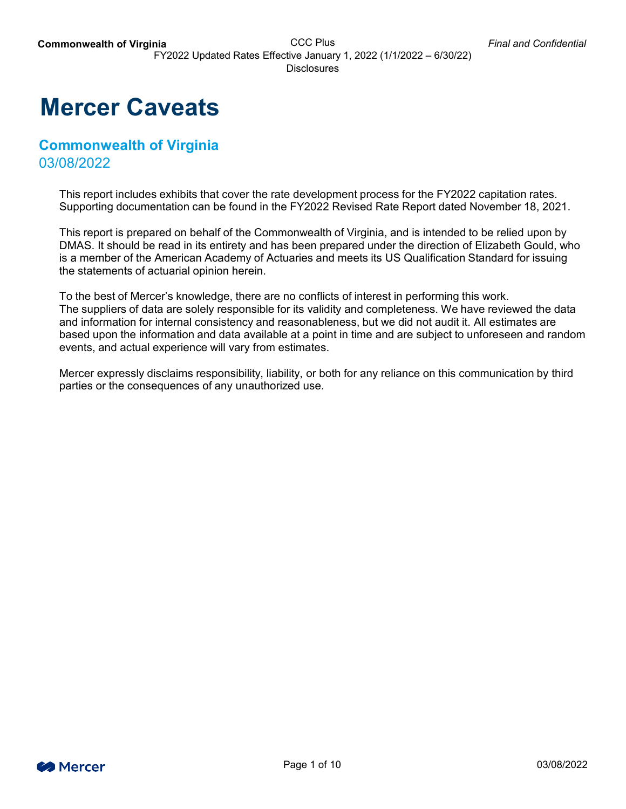## **Mercer Caveats**

## **Commonwealth of Virginia** 03/08/2022

This report includes exhibits that cover the rate development process for the FY2022 capitation rates. Supporting documentation can be found in the FY2022 Revised Rate Report dated November 18, 2021.

This report is prepared on behalf of the Commonwealth of Virginia, and is intended to be relied upon by DMAS. It should be read in its entirety and has been prepared under the direction of Elizabeth Gould, who is a member of the American Academy of Actuaries and meets its US Qualification Standard for issuing the statements of actuarial opinion herein.

To the best of Mercer's knowledge, there are no conflicts of interest in performing this work. The suppliers of data are solely responsible for its validity and completeness. We have reviewed the data and information for internal consistency and reasonableness, but we did not audit it. All estimates are based upon the information and data available at a point in time and are subject to unforeseen and random events, and actual experience will vary from estimates.

Mercer expressly disclaims responsibility, liability, or both for any reliance on this communication by third parties or the consequences of any unauthorized use.

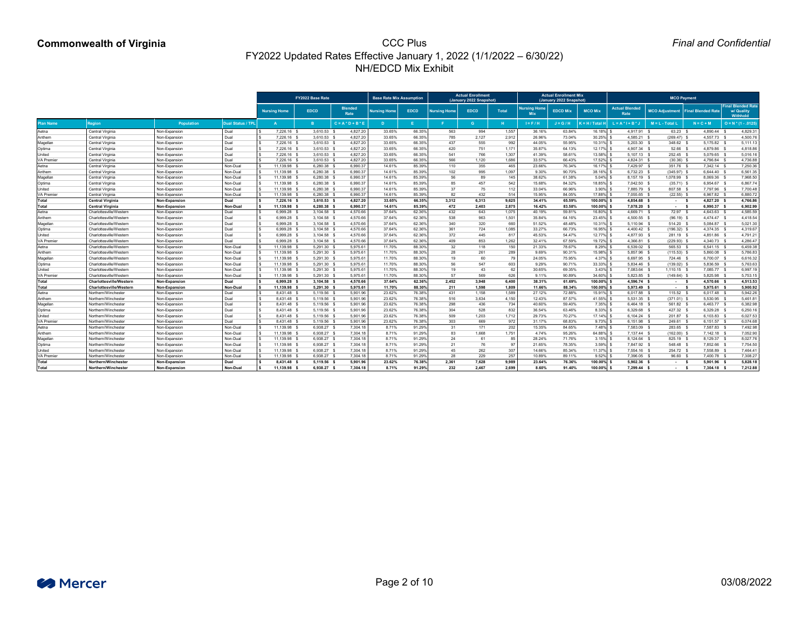|                         |                                                    |                                |                      |                             | FY2022 Base Rate               |                        | <b>Base Rate Mix Assumption</b> |                  |                     | <b>Actual Enrollment</b><br>(January 2022 Snapshot) |              |                                   | <b>Actual Enrollment Mix.</b><br>(January 2022 Snapshot) |                            |                                      | <b>MCO Payment</b>                  |                            |                                                     |
|-------------------------|----------------------------------------------------|--------------------------------|----------------------|-----------------------------|--------------------------------|------------------------|---------------------------------|------------------|---------------------|-----------------------------------------------------|--------------|-----------------------------------|----------------------------------------------------------|----------------------------|--------------------------------------|-------------------------------------|----------------------------|-----------------------------------------------------|
|                         |                                                    |                                |                      | <b>Nursing Home</b>         | <b>EDCD</b>                    | <b>Blended</b><br>Rate | <b>Nursing Home</b>             | <b>EDCD</b>      | <b>Nursing Home</b> | <b>EDCD</b>                                         | <b>Total</b> | <b>Nursing Home</b><br><b>MIX</b> | <b>EDCD Mix</b>                                          | <b>MCO Mix</b>             | <b>Actual Blended</b><br><b>Rate</b> | MCO Adjustment   Final Blended Rate |                            | <b>Final Blended Rate</b><br>w/ Quality<br>Withhold |
| Plan Name               | <b>Region</b>                                      | <b>Population</b>              | Dual Status / TPL    |                             |                                | $C = A * D + B * E$    |                                 |                  |                     | G.                                                  |              | $I = F / H$                       | $J = G/H$                                                | <b>Extraor H</b> / Total H | $L = A^*I + B^*$                     | $M = L - Total L$                   | $N = C + M$                | $O = N * (1 - .0125)$                               |
| Aetna                   | Central Virginia                                   | Non-Expansion                  | Dual                 | 7,226.16                    | $3,610.53$ \$                  | 4,827.20               | 33.65%                          | 66.35%           | 563                 | 994                                                 | 1,557        | 36.16%                            | 63.84%                                                   | 16.18%                     | 4,917.91 \$                          | 63.23                               | 4,890.44 \$                | 4,829.31                                            |
| Anthem                  | Central Virginia                                   | Non-Expansion                  | Dual                 | 7,226.16                    | 3,610.53 \$                    | 4,827.20               | 33.65%                          | 66.35%           | 785                 | 2,127                                               | 2,912        | 26.96%                            | 73.04%                                                   | 30.25%                     | 4,585.21                             | $(269.47)$ \$                       | 4,557.73                   | 4,500.76                                            |
| Magellan                | Central Virginia                                   | Non-Expansion                  | Dual                 | 7,226.16 \$                 | $3,610.53$ \$                  | 4,827.20               | 33.65%                          | 66.35%           | 437                 | 555                                                 | 992          | 44.05%                            | 55.95%                                                   | 10.31%                     | $5,203.30$ \$                        | 348.62                              | 5,175.82 \$                | 5,111.13                                            |
| Optima                  | Central Virginia                                   | Non-Expansion                  | Dual                 | 7,226.16 \$                 | $3,610.53$ \$                  | 4,827.20               | 33.65%                          | 66.35%           | 420                 | 751                                                 | 1,171        | 35.87%                            | 64.13%                                                   | 12.17%                     | 4,907.34 \$                          | 52.66                               | 4,879.86 \$                | 4,818.86                                            |
| Jnited                  | <b>Central Virginia</b>                            | Non-Expansion                  | Dual                 | 7,226.16 \$                 | $3,610.53$ \$                  | 4,827.20               | 33.65%                          | 66.35%           | 541                 | 766                                                 | 1,307        | 41.39%                            | 58.61%                                                   | 13.58%                     | $5,107.13$ \$                        | 252.45 \$                           | 5,079.65                   | 5,016.16                                            |
| /A Premier              | <b>Central Virginia</b>                            | Non-Expansion                  | Dual                 | 7,226.16 \$                 | 3,610.53 \$                    | 4,827.20               | 33.65%                          | 66.35%           | 566                 | 1,120                                               | 1,686        | 33.57%                            | 66.43%                                                   | 17.52%                     | 4,824.31 \$                          | $(30.36)$ \$                        | 4,796.84                   | 4,736.88                                            |
| Aetna                   | Central Virginia                                   | Non-Expansion                  | Non-Dual             | 11,139.98                   | $6,280.38$ \$                  | 6,990.37               | 14.61%                          | 85.39%           | 110                 | 355                                                 | 465          | 23.66%                            | 76.34%                                                   | 16.17%                     | 7,429.97 \$                          | 351.76 \$                           | 7,342.14 \$                | 7,250.36                                            |
| Anthem                  | <b>Central Virginia</b>                            | Non-Expansion                  | Non-Dual             | 11,139.98 \$                | 6,280.38 \$                    | 6,990.37               | 14.61%                          | 85.39%           | 102                 | 995                                                 | 1,097        | 9.30%                             | 90.70%                                                   | 38.16%                     | 6,732.23                             | $(345.97)$ \$                       | 6,644.40 \$                | 6,561.35                                            |
| Magellan                | <b>Central Virginia</b>                            | Non-Expansion                  | Non-Dual             | 11,139.98                   | $6,280.38$ \$                  | 6,990.37               | 14.61%                          | 85.39%           | 56                  | 89                                                  | 145          | 38.62%                            | 61.38%                                                   | 5.04%                      | 8,157.19 \$                          | 1,078.99                            | 8,069.36                   | 7,968.50                                            |
| Optima                  | <b>Central Virginia</b>                            | Non-Expansion                  | Non-Dual             | 11,139.98                   | 6,280.38 \$                    | 6,990.37               | 14.61%                          | 85.39%           | 85                  | 457                                                 | 542          | 15.68%                            | 84.32%                                                   | 18.85%                     | 7,042.50 \$                          | $(35.71)$ \$                        | 6,954.67                   | 6,867.74                                            |
| Jnited                  | Central Virginia                                   | Non-Expansion                  | Non-Dual             | 11,139.98                   | $6,280.38$ \$                  | 6,990.37               | 14.61%                          | 85.39%           | 37                  | 75                                                  | 112          | 33.04%                            | 66.96%                                                   | 3.90%                      | 7,885.79 \$                          | 807.58 \$                           | 7,797.96 \$                | 7,700.48                                            |
| 'A Premier              | Central Virginia                                   | Non-Expansion                  | Non-Dual             | 11,139.98                   | 6,280.38 \$                    | 6,990.37               | 14.61%                          | 85.39%           | 82                  | 432                                                 | 514          | 15.95%                            | 84.05%                                                   | 17.88%                     | 7,055.65 \$                          | $(22.55)$ \$                        | 6,967.82 \$                | 6,880.72                                            |
| Total                   | <b>Central Virginia</b>                            | Non-Expansion                  | <b>Dual</b>          | 7,226.16 \$                 | $3,610.53$ \$                  | 4,827.20               | 33.65%                          | 66.35%           | 3,312               | 6,313                                               | 9,625        | 34.41%                            | 65.59%                                                   | 100.00%                    | 4,854.68 \$                          | $\sim 100$                          | 4,827.20 \$                | 4,766.86                                            |
| Гоtal                   | <b>Central Virginia</b>                            | <b>Non-Expansion</b>           | <b>Non-Dual</b>      | 11,139.98 \                 | $6,280.38$ \$                  | 6,990.37               | 14.61%                          | 85.39%           | 472                 | 2,403                                               | 2,875        | 16.42%                            | 83.58%                                                   | 100.00%                    | 7,078.20 \$                          | $\sim 100$                          | 6,990.37                   | 6,902.99                                            |
| Aetna                   | Charlottesville/Western                            | Non-Expansion                  | Dual                 | 6,999.28                    | $3,104.58$ \$                  | 4,570.66               | 37.64%                          | 62.36%           | 432                 | 643                                                 | 1,075        | 40.19%                            | 59.81%                                                   | 16.80%                     | 4,669.71 \$                          | 72.97 \$                            | 4,643.63 \$                | 4,585.59                                            |
| Anthem                  | Charlottesville/Western                            | Non-Expansion                  | Dual                 | 6,999.28 %                  | $3,104.58$ \$                  | 4,570.66               | 37.64%                          | 62.36%           | 538                 | 963                                                 | 1,501        | 35.84%                            | 64.16%                                                   | 23.45%                     | $4,500.55$ \$                        | $(96.19)$ \$                        | 4,474.47 \$                | 4,418.54                                            |
| Magellan                | Charlottesville/Western                            | Non-Expansion                  | Dual                 | 6,999.28                    | $3,104.58$ \$                  | 4,570.66               | 37.64%                          | 62.36%           | 340                 | 320                                                 | 660          | 51.52%                            | 48.48%                                                   | 10.31%                     | 5,110.94                             | 514.20                              | 5,084.87                   | 5,021.30                                            |
| <b>Optima</b>           | Charlottesville/Western                            | Non-Expansion                  | Dual                 | 6,999.28                    | $3,104.58$ \$                  | 4,570.66               | 37.64%                          | 62.36%           | 361                 | 724                                                 | 1,085        | 33.27%                            | 66.73%                                                   | 16.95%                     | $4,400.42$ \$                        | $(196.32)$ \$                       | 4,374.35 \$                | 4,319.67                                            |
| Jnited                  | Charlottesville/Westerr                            | Non-Expansion                  | Dual                 | 6,999.28                    | $3,104.58$ \$                  | 4,570.66               | 37.64%                          | 62.36%           | 372                 | 445                                                 | 817          | 45.53%                            | 54.47%                                                   | 12.77%                     | 4,877.93 \$                          | 281.19                              | 4,851.86                   | 4,791.21                                            |
| 'A Premier              | Charlottesville/Western                            | Non-Expansion                  | Dual                 | 6,999.28                    | $3,104.58$ \$                  | 4,570.66               | 37.64%                          | 62.36%           | 409                 | 853                                                 | 1,262        | 32.41%                            | 67.59%                                                   | 19.72%                     | 4,366.81 \$                          | $(229.93)$ \$                       | 4,340.73 \$                | 4,286.47                                            |
| Aetna                   | Charlottesville/Western                            | Non-Expansion                  | Non-Dual             | 1,139.98                    | $5,291.30$ \$                  | 5,975.61<br>5,975.61   | 11.70%<br>11.70%                | 88.30%<br>88.30% | 32<br>28            | 118                                                 | 150<br>289   | 21.33%                            | 78.67%                                                   | 8.29%                      | 6,539.02 \$                          | 565.53                              | 6,541.15                   | 6,459.38                                            |
| Anthem                  | Charlottesville/Western<br>Charlottesville/Western | Non-Expansion<br>Non-Expansion | Non-Dual<br>Non-Dual | 11,139.98<br>11,139.98      | 5,291.30 \$<br>5,291.30 \$     | 5,975.61               | 11.70%                          | 88.30%           | 19                  | 261<br>60                                           | 79           | 9.69%<br>24.05%                   | 90.31%<br>75.95%                                         | 15.98%<br>4.37%            | 5,857.96 \$<br>6,697.95 \$           | $(115.53)$ \$<br>724.46             | 5,860.08 \$<br>6,700.07    | 5,786.83<br>6,616.32                                |
| Magellan<br>.<br>Optima | Charlottesville/Western                            | Non-Expansion                  | Non-Dual             | 1,139.98                    | 5,291.30                       | 5,975.61               | 11.70%                          | 88.30%           | 56                  | 547                                                 | 603          | 9.29%                             | 90.71%                                                   | 33.33%                     | 5,834.46                             | (139.02)                            | 5,836.59                   | 5,763.63                                            |
| United                  | Charlottesville/Western                            | Non-Expansion                  | Non-Dual             | 11,139.98 \$                | 5,291.30 \$                    | 5,975.61               | 11.70%                          | 88.30%           | 19                  |                                                     | 62           | 30.65%                            | 69.35%                                                   | 3.43%                      | 7,083.64 \$                          |                                     | 7,085.77 \$                | 6,997.19                                            |
| <b>VA Premier</b>       | Charlottesville/Western                            | Non-Expansion                  | Non-Dual             | 11,139.98 \$                | 5,291.30 \$                    | 5,975.61               | 11.70%                          | 88.30%           | 57                  | 43<br>569                                           | 626          | 9.11%                             | 90.89%                                                   | 34.60%                     | 5,823.85 \$                          | $1,110.15$ \$<br>$(149.64)$ \$      | 5,825.98 \$                | 5,753.15                                            |
|                         | <b>Charlottesville/Western</b>                     | Non-Expansion                  | <b>Dual</b>          |                             |                                | 4,570.66               | 37.64%                          | 62.36%           | 2,452               |                                                     | 6,400        | 38.31%                            | 61.69%                                                   | 100.00%                    | 4,596.74 \$                          |                                     |                            | 4,513.53                                            |
| Total<br>Total          | <b>Charlottesville/Western</b>                     | Non-Expansion                  | <b>Non-Dual</b>      | 6,999.28 \$<br>11,139.98 \$ | $3,104.58$ \$<br>$5,291.30$ \$ | 5,975.61               | 11.70%                          | 88.30%           | 211                 | 3,948<br>1,598                                      | 1,809        | 11.66%                            | 88.34%                                                   | 100.00%                    | 5,973.49 \$                          | $\sim 100$ km s $^{-1}$             | 4,570.66 \$<br>5,975.61 \$ | 5,900.92                                            |
| Aetna                   | Northern/Winchester                                | Non-Expansion                  | Dual                 | 8,431.48 \$                 | 5,119.56 \$                    | 5,901.96               | 23.62%                          | 76.38%           | 431                 | 1,158                                               | 1,589        | 27.12%                            | 72.88%                                                   | 15.91%                     | $6,017.88$ \$                        | $\sim 100$<br>$115.52$ \$           | $6,017.48$ \$              | 5,942.26                                            |
| Anthem                  | Northern/Winchester                                | Non-Expansion                  | Dual                 | 8,431.48 \$                 | 5,119.56 \$                    | 5,901.96               | 23.62%                          | 76.38%           | 516                 | 3,634                                               | 4,150        | 12.43%                            | 87.57%                                                   | 41.55%                     | 5,531.35 \$                          | $(371.01)$ \$                       | 5,530.95 \$                | 5,461.8'                                            |
| Magellan                | Northern/Winchester                                | Non-Expansion                  | Dual                 | 8,431.48 \$                 | 5,119.56 \$                    | 5,901.96               | 23.62%                          | 76.38%           | 298                 | 436                                                 | 734          | 40.60%                            | 59.40%                                                   | $7.35\%$ \$                | $6,464.18$ \$                        | 561.82 \$                           | 6,463.77 \$                | 6,382.98                                            |
| Optima                  | Northern/Winchester                                | Non-Expansion                  | Dual                 | 8,431.48 \$                 | 5,119.56 \$                    | 5,901.96               | 23.62%                          | 76.38%           | 304                 | 528                                                 | 832          | 36.54%                            | 63.46%                                                   | 8.33%                      | 6,329.68 \$                          | 427.32 \$                           | 6,329.28 \$                | 6,250.16                                            |
| United                  | Northern/Winchester                                | Non-Expansion                  | Dual                 | 8,431.48 \$                 | 5,119.56 \$                    | 5,901.96               | 23.62%                          | 76.38%           | 509                 | 1,203                                               | 1,712        | 29.73%                            | 70.27%                                                   | 17.14%                     | $6,104.24$ \$                        | 201.87 \$                           | $6,103.83$ \$              | 6,027.53                                            |
| <b>VA Premier</b>       | Northern/Winchester                                | Non-Expansion                  | Dual                 | 8,431.48 \$                 | 5,119.56 \$                    | 5,901.96               | 23.62%                          | 76.38%           | 303                 | 669                                                 | 972          | 31.17%                            | 68.83%                                                   | 9.73%                      | $6,151.98$ \$                        | 249.61 \$                           | $6,151.57$ \$              | 6,074.68                                            |
| Aetna                   | Northern/Winchester                                | Non-Expansion                  | Non-Dual             | 11,139.98 \$                | $6,938.27$ \$                  | 7,304.18               | 8.71%                           | 91.29%           | 31                  | 171                                                 | 202          | 15.35%                            | 84.65%                                                   | 7.48%                      | 7,583.09 \$                          | 283.65 \$                           | 7,587.83 \$                | 7,492.98                                            |
| Anthem                  | Northern/Winchester                                | Non-Expansion                  | Non-Dual             | 11,139.98 \$                | 6,938.27 \$                    | 7,304.18               | 8.71%                           | 91.29%           | 83                  | 1,668                                               | 1,751        | 4.74%                             | 95.26%                                                   | 64.88% \$                  | 7,137.44 \$                          | $(162.00)$ \$                       | 7,142.18 \$                | 7,052.90                                            |
| Magellan                | Northern/Winchester                                | Non-Expansion                  | Non-Dual             | 11,139.98 \$                | 6,938.27 \$                    | 7,304.18               | 8.71%                           | 91.29%           | 24                  | 61                                                  | 85           | 28.24%                            | 71.76%                                                   | 3.15%                      | 8,124.64 \$                          | 825.19 \$                           | 8,129.37 \$                | 8,027.76                                            |
| Optima                  | Northern/Winchester                                | Non-Expansion                  | Non-Dual             | 11,139.98 \$                | 6,938.27 \$                    | 7,304.18               | 8.71%                           | 91.29%           | 21                  | 76                                                  | 97           | 21.65%                            | 78.35%                                                   | 3.59%                      | 7,847.92 \$                          | 548.48 \$                           | 7,852.66 \$                | 7,754.50                                            |
| United                  | Northern/Winchester                                | Non-Expansion                  | Non-Dual             | 11,139.98 \$                | 6,938.27 \$                    | 7,304.18               | 8.71%                           | 91.29%           | 45                  | 262                                                 | 307          | 14.66%                            | 85.34%                                                   | 11.37%                     | 7,554.16 \$                          | 254.72 \$                           | 7,558.89 \$                | 7,464.41                                            |
| <b>VA Premier</b>       | Northern/Winchester                                | Non-Expansion                  | Non-Dual             | 11,139.98 \$                | 6,938.27 \$                    | 7,304.18               | 8.71%                           | 91.29%           | 28                  | 229                                                 | 257          | 10.89%                            | 89.11%                                                   | 9.52%                      | 7,396.05 \$                          | $96.60$ \$                          | 7,400.78 \$                | 7,308.27                                            |
| Total                   | Northern/Winchester                                | Non-Expansion                  | <b>Dual</b>          | 8,431.48 \$                 | 5,119.56 \$                    | 5,901.96               | 23.62%                          | 76.38%           | 2,361               | 7,628                                               | 9,989        | 23.64%                            | 76.36%                                                   | 100.00%                    | $5,902.36$ \$                        | - \$                                | 5,901.96 \$                | 5,828.18                                            |
| Total                   | Northern/Winchester                                | Non-Expansion                  | <b>Non-Dual</b>      | 11,139.98 \$                | 6,938.27 \$                    | 7,304.18               | 8.71%                           | 91.29%           | 232                 | 2,467                                               | 2,699        | $8.60\%$                          | 91.40%                                                   | 100.00%                    | 7,299.44 \$                          | $\sim 100$                          | 7,304.18 \$                | 7,212.88                                            |
|                         |                                                    |                                |                      |                             |                                |                        |                                 |                  |                     |                                                     |              |                                   |                                                          |                            |                                      |                                     |                            |                                                     |

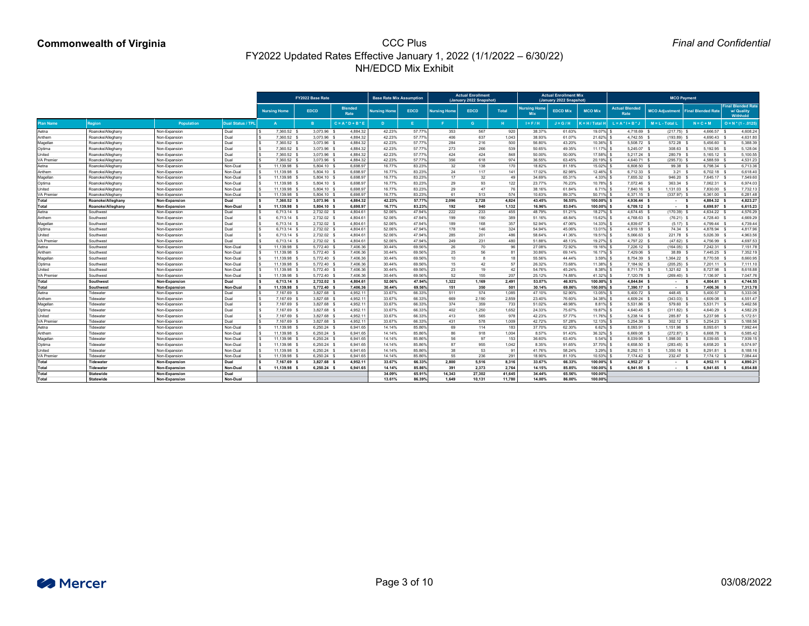|                   |                          |                      |                          |                     | <b>FY2022 Base Rate</b> |                        | <b>Base Rate Mix Assumption</b> |             |                     | <b>Actual Enrollment</b><br>(January 2022 Snapshot) |              |                                   | <b>Actual Enrollment Mix.</b><br>(January 2022 Snapshot) |                    |                               | <b>MCO Payment</b> |                                     |                                                     |
|-------------------|--------------------------|----------------------|--------------------------|---------------------|-------------------------|------------------------|---------------------------------|-------------|---------------------|-----------------------------------------------------|--------------|-----------------------------------|----------------------------------------------------------|--------------------|-------------------------------|--------------------|-------------------------------------|-----------------------------------------------------|
|                   |                          |                      |                          | <b>Nursing Home</b> | <b>EDCD</b>             | <b>Blended</b><br>Rate | <b>Nursing Home</b>             | <b>EDCD</b> | <b>Nursing Home</b> | <b>EDCD</b>                                         | <b>Total</b> | <b>Nursing Home</b><br><b>Mix</b> | <b>EDCD Mix</b>                                          | <b>MCO Mix</b>     | <b>Actual Blended</b><br>Rate |                    | MCO Adjustment   Final Blended Rate | <b>Final Blended Rate</b><br>w/ Quality<br>Withhold |
| Plan Name         | <b>Region</b>            | Population           | <b>Dual Status / TPI</b> |                     |                         | $C = A * D + B * E$    |                                 |             |                     | G.                                                  | н.           | $I = F / H$                       | $J = G/H$                                                | <b>(=H/Total H</b> | _ = A * I + B *               | $M = L - Total L$  | $N = C + M$                         | $O = N * (1 - .0125)$                               |
| Aetna             | Roanoke/Alleghany        | Non-Expansion        | Dual                     | 7,360.52            | 3,073.96                | 4,884.32               | 42.23%                          | 57.77%      | 353                 | 567                                                 | 920          | 38.37%                            | 61.63%                                                   | 19.07%             | 4,718.69 \$                   | $(217.75)$ \$      | 4,666.57                            | 4,608.24                                            |
| Anthem            | Roanoke/Alleghany        | Non-Expansion        | Dual                     | 7,360.52            | 3,073.96 \$             | 4,884.32               | 42.23%                          | 57.77%      | 406                 | 637                                                 | 1,043        | 38.93%                            | 61.07%                                                   | 21.62%             | 4,742.55 \$                   | (193.89)           | 4,690.43                            | 4,631.80                                            |
| Magellan          | Roanoke/Alleghany        | Non-Expansion        | Dual                     | 7,360.52            | 3,073.96 \$             | 4,884.32               | 42.23%                          | 57.77%      | 284                 | 216                                                 | 500          | 56.80%                            | 43.20%                                                   | 10.36%             | 5,508.72 \$                   | 572.28 \$          | 5,456.60                            | 5,388.39                                            |
| Optima            | Roanoke/Alleghany        | Non-Expansion        | Dual                     | 7,360.52            | 3,073.96 \$             | 4,884.32               | 42.23%                          | 57.77%      | 273                 | 266                                                 | 539          | 50.65%                            | 49.35%                                                   | 11.17%             | 5,245.07 \$                   | 308.63             | 5,192.95                            | 5,128.04                                            |
| Jnited            | Roanoke/Alleghany        | Non-Expansion        | Dual                     | 7,360.52            | 3,073.96 \$             | 4,884.32               | 42.23%                          | 57.77%      | 424                 | 424                                                 | 848          | 50.00%                            | 50.00%                                                   | 17.58%             | $5,217.24$ \$                 | 280.79 %           | $5,165.12$ \$                       | 5,100.55                                            |
| A Premier         | Roanoke/Alleghany        | Non-Expansion        | Dual                     | 7,360.52            | 3,073.96 \$             | 4,884.32               | 42.23%                          | 57.77%      | 356                 | 618                                                 | 974          | 36.55%                            | 63.45%                                                   | 20.19%             | 4,640.71                      | $(295.73)$ \$      | 4,588.59                            | 4,531.23                                            |
| Aetna             | Roanoke/Alleghany        | Non-Expansion        | Non-Dual                 | 11,139.98           | $5,804.10$ \$           | 6,698.97               | 16.77%                          | 83.23%      | 32                  | 138                                                 | 170          | 18.82%                            | 81.18%                                                   | 15.02%             | 6,808.50 \$                   | 99.38 \$           | 6,798.34 \$                         | 6,713.36                                            |
| Anthem            | Roanoke/Alleghany        | Non-Expansion        | Non-Dual                 | 11,139.98           | 5,804.10 \$             | 6,698.97               | 16.77%                          | 83.23%      | 24                  | 117                                                 | 141          | 17.02%                            | 82.98%                                                   | 12.46%             | 6,712.33                      | 3.21               | $6,702.18$ \$                       | 6,618.40                                            |
| Magellan          | Roanoke/Alleghany        | Non-Expansion        | Non-Dual                 | 11,139.98           | 5,804.10 \$             | 6,698.97               | 16.77%                          | 83.23%      | 17                  | 32                                                  | 49           | 34.69%                            | 65.31%                                                   | 4.33%              | 7,655.32 \$                   | 946.20             | 7,645.17 \$                         | 7,549.60                                            |
| <b>Optima</b>     | Roanoke/Alleghany        | Non-Expansion        | Non-Dual                 | 11,139.98           | 5,804.10 \$             | 6,698.97               | 16.77%                          | 83.23%      | 29                  | 93                                                  | 122          | 23.77%                            | 76.23%                                                   | 10.78%             | 7,072.46 \$                   | 363.34             | 7,062.31                            | 6,974.03                                            |
| Jnited            | Roanoke/Alleghany        | Non-Expansion        | Non-Dual                 | 11,139.98           | 5,804.10 \$             | 6,698.97               | 16.77%                          | 83.23%      | 29                  | 47                                                  | 76           | 38.16%                            | 61.84%                                                   | 6.71%              | 7,840.16 \$                   | 1,131.03           | 7,830.00                            | 7,732.13                                            |
| 'A Premier        | Roanoke/Alleghany        | Non-Expansion        | Non-Dual                 | 11,139.98           | 5,804.10 \$             | 6,698.97               | 16.77%                          | 83.23%      | 61                  | 513                                                 | 574          | 10.63%                            | 89.37%                                                   | 50.71%             | $6,371.15$ \$                 | $(337.97)$ \$      | 6,361.00                            | 6,281.48                                            |
| Total             | <b>Roanoke/Alleghany</b> | <b>Non-Expansion</b> | <b>Dual</b>              | 7,360.52 \$         | 3,073.96 \$             | 4,884.32               | 42.23%                          | 57.77%      | 2,096               | 2,728                                               | 4,824        | 43.45%                            | 56.55%                                                   | 100.00%            | 4,936.44 \$                   | $\sim$ 10 $\pm$    | 4,884.32                            | 4,823.27                                            |
| Total             | Roanoke/Alleghany        | Non-Expansion        | <b>Non-Dual</b>          | 11,139.98 \$        | 5,804.10 \$             | 6,698.97               | 16.77%                          | 83.23%      | 192                 | 940                                                 | 1,132        | 16.96%                            | 83.04%                                                   | 100.00%            | $6,709.12$ \$                 | $\sim 100$         | 6,698.97                            | 6,615.23                                            |
| Aetna             | Southwest                | Non-Expansion        | Dual                     | 6,713.14            | 2,732.02 \$             | 4,804.61               | 52.06%                          | 47.94%      | 222                 | 233                                                 | 455          | 48.79%                            | 51.21%                                                   | 18.27%             | 4,674.45 \$                   | $(170.39)$ \$      | 4,634.22 \$                         | 4,576.29                                            |
| Anthem            | Southwest                | Non-Expansion        | Dual                     | 6,713.14 \$         | 2,732.02 \$             | 4,804.61               | 52.06%                          | 47.94%      | 199                 | 190                                                 | 389          | 51.16%                            | 48.84%                                                   | 15.62%             | 4,768.63 \$                   | $(76.21)$ \$       | 4,728.40 \$                         | 4,669.29                                            |
| Magellan          | Southwest                | Non-Expansion        | Dual                     | 6,713.14            | 2,732.02 \$             | 4,804.61               | 52.06%                          | 47.94%      | 189                 | 168                                                 | 357          | 52.94%                            | 47.06%                                                   | 14.33%             | 4,839.67                      | $(5.17)$ \$        | 4,799.44                            | 4,739.44                                            |
| Optima            | Southwest                | Non-Expansion        | Dual                     | 6,713.14 \$         | 2,732.02 \$             | 4,804.61               | 52.06%                          | 47.94%      | 178                 | 146                                                 | 324          | 54.94%                            | 45.06%                                                   | 13.01%             | 4,919.18 \$                   | 74.34 \$           | 4,878.94                            | 4,817.96                                            |
| Jnited            | Southwest                | Non-Expansion        | Dual                     | 6,713.14 \$         | 2,732.02 \$             | 4,804.61               | 52.06%                          | 47.94%      | 285                 | 201                                                 | 486          | 58.64%                            | 41.36%                                                   | 19.51%             | $5,066.63$ \$                 | 221.78 \$          | 5,026.39                            | 4,963.56                                            |
| 'A Premier        | Southwest                | Non-Expansion        | Dual                     | 6,713.14 \$         | 2,732.02 \$             | 4,804.61               | 52.06%                          | 47.94%      | 249                 | 231                                                 | 480          | 51.88%                            | 48.13%                                                   | 19.27%             | 4,797.22 \$                   | $(47.62)$ \$       | 4,756.99 \$                         | 4,697.53                                            |
| Aetna             | Southwest                | Non-Expansion        | Non-Dual                 | 1,139.98            | 5,772.40 \$             | 7,406.36               | 30.44%                          | 69.56%      | 26                  | 70                                                  | 96           | 27.08%                            | 72.92%                                                   | 19.16%             | 7,226.12 \$                   | $(164.05)$ \$      | 7,242.31                            | 7,151.78                                            |
| Anthem            | Southwest                | Non-Expansion        | Non-Dual                 | 11,139.98           | 5,772.40 \$             | 7,406.36               | 30.44%                          | 69.56%      | 25                  | 56                                                  | 81           | 30.86%                            | 69.14%                                                   | 16.17%             | 7,429.06 \$                   | 38.89              | 7,445.25 \$                         | 7,352.19                                            |
| Magellan          | Southwest                | Non-Expansion        | Non-Dual                 | 1,139.98            | 5,772.40 \$             | 7,406.36               | 30.44%                          | 69.56%      | 10                  |                                                     | 18           | 55.56%                            | 44.44%                                                   | 3.59%              | 8,754.39                      | 1,364.22           | 8,770.58                            | 8,660.95                                            |
| Optima            | Southwest                | Non-Expansion        | Non-Dual                 | 1,139.98            | 5,772.40                | 7,406.36               | 30.44%                          | 69.56%      | 15                  | $\Delta$ 2                                          | 57           | 26.32%                            | 73.68%                                                   | 11.38%             | 7,184.92                      | $(205.25)$ \$      | 7,201.11                            | 7,111.10                                            |
| United            | Southwest                | Non-Expansion        | Non-Dual                 | 11,139.98 :         | 5,772.40 \$             | 7,406.36               | 30.44%                          | 69.56%      | 23                  | 19                                                  | 42           | 54.76%                            | 45.24%                                                   | 8.38%              | 8,711.79 \$                   | 1,321.62 \$        | 8,727.98 \$                         | 8,618.88                                            |
| <b>/A Premier</b> | Southwest                | Non-Expansion        | Non-Dual                 | 11,139.98 \$        | 5,772.40 \$             | 7,406.36               | 30.44%                          | 69.56%      | 52                  | 155                                                 | 207          | 25.12%                            | 74.88%                                                   | 41.32%             | 7,120.78 \$                   | $(269.40)$ \$      | 7,136.97 \$                         | 7,047.76                                            |
| Total             | <b>Southwest</b>         | Non-Expansion        | Dual                     | $6,713.14$ \$       | 2,732.02 \$             | 4,804.61               | 52.06%                          | 47.94%      | 1,322               | 1,169                                               | 2,491        | 53.07%                            | 46.93%                                                   | 100.00%            | 4,844.84 \$                   | - \$               | 4,804.61 \$                         | 4,744.55                                            |
| Total             | <b>Southwest</b>         | Non-Expansion        | <b>Non-Dual</b>          | 11,139.98 \$        | 5,772.40 \$             | 7,406.36               | 30.44%                          | 69.56%      | 151                 | 350                                                 | 501          | 30.14%                            | 69.86%                                                   | 100.00%            | 7,390.17 \$                   | - 9                | 7,406.36 \$                         | 7,313.78                                            |
| Aetna             | Tidewater                | Non-Expansion        | Dual                     | 7,167.69 \$         | 3,827.68 \$             | 4,952.11               | 33.67%                          | 66.33%      | 511                 | 574                                                 | 1,085        | 47.10%                            | 52.90%                                                   | 13.05%             | 5,400.72 \$                   | 448.45             | 5,400.57 \$                         | 5,333.06                                            |
| Anthem            | Tidewater                | Non-Expansion        | Dual                     | 7,167.69 \$         | 3,827.68 \$             | 4,952.11               | 33.67%                          | 66.33%      | 669                 | 2,190                                               | 2,859        | 23.40%                            | 76.60%                                                   | 34.38%             | 4,609.24 \$                   | $(343.03)$ \$      | 4,609.08 \$                         | 4,551.47                                            |
| Magellan          | Tidewater                | Non-Expansion        | Dual                     | 7,167.69 \$         | 3,827.68 \$             | 4,952.11               | 33.67%                          | 66.33%      | 374                 | 359                                                 | 733          | 51.02%                            | 48.98%                                                   | 8.81%              | 5,531.86 \$                   | 579.60 \$          | 5,531.71 \$                         | 5,462.56                                            |
| Optima            | <b>Tidewater</b>         | Non-Expansion        | Dual                     | 7,167.69 \$         | 3,827.68 \$             | 4,952.11               | 33.67%                          | 66.33%      | 402                 | 1,250                                               | 1,652        | 24.33%                            | 75.67%                                                   | 19.87%             | 4,640.45 \$                   | $(311.82)$ \$      | 4,640.29 \$                         | 4,582.29                                            |
| United            | Tidewater                | Non-Expansion        | Dual                     | 7,167.69 \$         | 3,827.68 \$             | 4,952.11               | 33.67%                          | 66.33%      | 413                 | 565                                                 | 978          | 42.23%                            | 57.77%                                                   | 11.76%             | $5,238.14$ \$                 | 285.87             | 5,237.98 \$                         | 5,172.5'                                            |
| <b>VA Premier</b> | Tidewater                | Non-Expansion        | Dual                     | 7,167.69 \$         | 3,827.68 \$             | 4,952.11               | 33.67%                          | 66.33%      | 431                 | 578                                                 | 1,009        | 42.72%                            | 57.28%                                                   | 12.13%             | $5,254.39$ \$                 | $302.12$ \$        | 5,254.23 \$                         | 5,188.56                                            |
| Aetna             | Tidewater                | Non-Expansion        | Non-Dual                 | 11,139.98 \$        | $6,250.24$ \$           | 6,941.65               | 14.14%                          | 85.86%      | 69                  | 114                                                 | 183          | 37.70%                            | 62.30%                                                   | 6.62%              | 8,093.91 \$                   | 1,151.96 \$        | 8,093.61 \$                         | 7,992.44                                            |
| Anthem            | Tidewater                | Non-Expansion        | Non-Dual                 | 11,139.98 \$        | $6,250.24$ \$           | 6,941.65               | 14.14%                          | 85.86%      | 86                  | 918                                                 | 1,004        | 8.57%                             | 91.43%                                                   | 36.32%             | 6,669.08 \$                   | $(272.87)$ \$      | 6,668.78 \$                         | 6,585.42                                            |
| Magellan          | <b>Tidewater</b>         | Non-Expansion        | Non-Dual                 | 11,139.98 \$        | $6,250.24$ \$           | 6,941.65               | 14.14%                          | 85.86%      | 56                  | 97                                                  | 153          | 36.60%                            | 63.40%                                                   | 5.54%              | 8,039.95 \$                   | 1,098.00 \$        | 8,039.65 \$                         | 7,939.15                                            |
| Optima            | Tidewater                | Non-Expansion        | Non-Dual                 | 11,139.98 \$        | $6,250.24$ \$           | 6,941.65               | 14.14%                          | 85.86%      | 87                  | 955                                                 | 1,042        | 8.35%                             | 91.65%                                                   | 37.70% \$          | $6,658.50$ \$                 | $(283.45)$ \$      | 6,658.20 \$                         | 6,574.97                                            |
| United            | Tidewater                | Non-Expansion        | Non-Dual                 | 11,139.98 \$        | $6,250.24$ \$           | 6,941.65               | 14.14%                          | 85.86%      | 38                  | 53                                                  | 91           | 41.76%                            | 58.24%                                                   | 3.29%              | 8,292.11 \$                   | 1,350.16 \$        | 8,291.81 \$                         | 8,188.16                                            |
| <b>VA Premier</b> | Tidewater                | Non-Expansion        | Non-Dual                 | 11,139.98 \$        | $6,250.24$ \$           | 6,941.65               | 14.14%                          | 85.86%      | 55                  | 236                                                 | 291          | 18.90%                            | 81.10%                                                   | 10.53%             | 7,174.42 \$                   | 232.47 \$          | 7,174.12 \$                         | 7,084.44                                            |
| Total             | Tidewater                | Non-Expansion        | Dual                     | 7,167.69 \$         | 3,827.68 \$             | 4,952.11               | 33.67%                          | 66.33%      | 2,800               | 5,516                                               | 8,316        | 33.67%                            | 66.33%                                                   | 100.00%            | 4,952.27 \$                   | - \$               | 4,952.11 \$                         | 4,890.21                                            |
| Total             | <b>Tidewater</b>         | Non-Expansion        | <b>Non-Dual</b>          | 11,139.98 \$        | $6,250.24$ \$           | 6,941.65               | 14.14%                          | 85.86%      | 391                 | 2,373                                               | 2,764        | 14.15%                            | 85.85%                                                   | 100.00%            | $6,941.95$ \$                 | $\sim 100$         | 6,941.65 \$                         | 6,854.88                                            |
| Total             | <b>Statewide</b>         | Non-Expansion        | <b>Dual</b>              |                     |                         |                        | 34.09%                          | 65.91%      | 14,343              | 27,302                                              | 41,645       | 34.44%                            | 65.56%                                                   | 100.00%            |                               |                    |                                     |                                                     |
| Total             | <b>Statewide</b>         | Non-Expansion        | <b>Non-Dual</b>          |                     |                         |                        | 13.61%                          | 86.39%      | 1,649               | 10,131                                              | 11,780       | 14.00%                            | 86.00%                                                   | 100.00%            |                               |                    |                                     |                                                     |

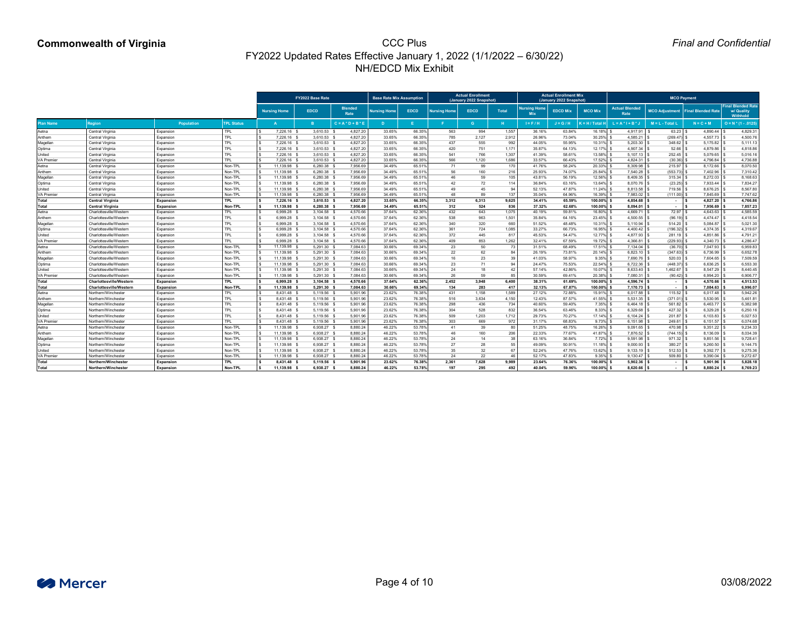|                   |                                |                   |                   |                     | FY2022 Base Rate |                        | <b>Base Rate Mix Assumption</b> |                    |                     | <b>Actual Enrollment</b><br>(January 2022 Snapshot) |              |                                   | <b>Actual Enrollment Mix.</b><br>(January 2022 Snapshot) |                        |                               |                      | <b>MCO Payment</b>                  |                                                     |
|-------------------|--------------------------------|-------------------|-------------------|---------------------|------------------|------------------------|---------------------------------|--------------------|---------------------|-----------------------------------------------------|--------------|-----------------------------------|----------------------------------------------------------|------------------------|-------------------------------|----------------------|-------------------------------------|-----------------------------------------------------|
|                   |                                |                   |                   | <b>Nursing Home</b> | <b>EDCD</b>      | <b>Blended</b><br>Rate | <b>Nursing Home</b>             | <b>EDCD</b>        | <b>Nursing Home</b> | <b>EDCD</b>                                         | <b>Total</b> | <b>Nursing Home</b><br><b>MIX</b> | <b>EDCD Mix</b>                                          | <b>MCO Mix</b>         | Actual Blended<br><b>Rate</b> |                      | MCO Adjustment   Final Blended Rate | <b>Final Blended Rate</b><br>w/ Quality<br>Withhold |
| Plan Name         | <b>Region</b>                  | <b>Population</b> | <b>TPL Status</b> |                     |                  | $C = A * D + B * E$    |                                 |                    |                     | G.                                                  | H.           | $I = F / H$                       | $J = G/H$                                                | <b>C</b> = H / Total H | L = A * I + B *               | $M = L - Total L$    | $N = C + M$                         | $O = N * (1 - .0125)$                               |
| Aetna             | <b>Central Virginia</b>        | Expansion         | <b>TPL</b>        | 7,226.16            | 3,610.53 \$      | 4,827.20               | 33.65%                          | 66.35%             | 563                 | 994                                                 | 1,557        | 36.16%                            | 63.84%                                                   | 16.18% \$              | 4,917.91                      | 63.23                | $4,890.44$ \\$                      | 4,829.31                                            |
| Anthem            | <b>Central Virginia</b>        | Expansion         | <b>TPL</b>        | 7,226.16            | 3,610.53 \$      | 4,827.20               | 33.65%                          | 66.35%             | 785                 | 2,127                                               | 2,912        | 26.96%                            | 73.04%                                                   | 30.25%                 | 4,585.21                      | (269.47)             | $4,557.73$ \$                       | 4,500.76                                            |
| Magellan          | Central Virginia               | Expansion         | <b>TPL</b>        | 7,226.16 \$         | $3,610.53$ \$    | 4,827.20               | 33.65%                          | 66.35%             | 437                 | 555                                                 | 992          | 44.05%                            | 55.95%                                                   | 10.31%                 | 5,203.30                      | 348.62               | 5,175.82                            | 5,111.13                                            |
| Optima            | Central Virginia               | Expansion         | <b>TPL</b>        | 7,226.16 \$         | $3,610.53$ \$    | 4,827.20               | 33.65%                          | 66.35%             | 420                 | 751                                                 | 1,171        | 35.87%                            | 64.13%                                                   | 12.17%                 | 4,907.34                      | 52.66                | 4,879.86                            | 4,818.86                                            |
| Jnited            | <b>Central Virginia</b>        | Expansion         | <b>TPL</b>        | 7,226.16 \$         | $3,610.53$ \$    | 4,827.20               | 33.65%                          | 66.35%             | 541                 | 766                                                 | 1,307        | 41.39%                            | 58.61%                                                   | 13.58%                 | 5,107.13                      | 252.45               | 5,079.65                            | 5,016.16                                            |
| <b>/A Premier</b> | <b>Central Virginia</b>        | Expansion         | <b>TPL</b>        | 7,226.16 \$         | $3,610.53$ \$    | 4,827.20               | 33.65%                          | 66.35%             | 566                 | 1,120                                               | 1,686        | 33.57%                            | 66.43%                                                   | 17.52%                 | 4,824.31                      | (30.36)              | 4,796.84                            | 4,736.88                                            |
| Aetna             | <b>Central Virginia</b>        | Expansion         | Non-TPL           | 11,139.98           | 6,280.38         | 7,956.69               | 34.49%                          | 65.51%             | 71                  | 99                                                  | 170          | 41.76%                            | 58.24%                                                   | 20.33%                 | 8,309.98                      | 215.97               | 8,172.66                            | 8,070.50                                            |
| Anthem            | <b>Central Virginia</b>        | Expansion         | Non-TPL           | 11,139.98           | $6,280.38$ \$    | 7,956.69               | 34.49%                          | 65.51%             | 56                  | 160                                                 | 216          | 25.93%                            | 74.07%                                                   | 25.84%                 | 7,540.28                      | (553.73)             | 7,402.96                            | 7,310.42                                            |
| Magellan          | Central Virginia               | Expansion         | Non-TPL           | 11,139.98           | $6,280.38$ \$    | 7,956.69               | 34.49%                          | 65.519             | 46                  | 59                                                  | 105          | 43.81%                            | 56.19%                                                   | 12.56%                 | 8,409.35                      | 315.34               | 8,272.03                            | 8,168.63                                            |
| Optima            | <b>Central Virginia</b>        | Expansion         | Non-TPL           | 11,139.98           | $6,280.38$ \$    | 7,956.69               | 34.49%                          | 65.51%             | 42                  | 72                                                  | 114          | 36.84%                            | 63.16%                                                   | 13.64%                 | 8,070.76                      | (23.25)              | 7,933.44                            | 7,834.27                                            |
| Jnited            | Central Virginia               | Expansion         | Non-TPL           | 11,139.98           | $6,280.38$ \$    | 7,956.69               | 34.49%                          | 65.519             | 49                  | 45                                                  | 94           | 52.13%                            | 47.87%                                                   | 11.24%                 | 8,813.58                      | 719.56               | 8,676.25                            | 8,567.80                                            |
| 'A Premier        | Central Virginia               | Expansion         | Non-TPL           | 11,139.98           | 6,280.38 \$      | 7,956.69               | 34.49%                          | 65.51%             | 48                  | 89                                                  | 137          | 35.04%                            | 64.96%                                                   | 16.39%                 | 7,983.02                      | (111.00)             | 7,845.69                            | 7,747.62                                            |
| Total             | <b>Central Virginia</b>        | <b>Expansion</b>  | <b>TPL</b>        | 7,226.16 9          | $3,610.53$ \$    | 4,827.20               | 33.65%                          | 66.35%             | 3,312               | 6,313                                               | 9,625        | 34.41%                            | 65.59%                                                   | 100.00%                | 4,854.68                      | $\sim$               | 4,827.20                            | 4,766.86                                            |
| Гоtal             | <b>Central Virginia</b>        | <b>Expansion</b>  | <b>Non-TPL</b>    | 11,139.98           | $6,280.38$ \$    | 7,956.69               | 34.49%                          | 65.51%             | 312                 | 524                                                 | 836          | 37.32%                            | 62.68%                                                   | 100.00%                | 8,094.01                      | $\sim$               | 7,956.69                            | 7,857.23                                            |
| Aetna             | Charlottesville/Western        | Expansion         | <b>TPL</b>        | 6,999.28            | $3,104.58$ \$    | 4,570.66               | 37.64%                          | 62.36%             | 432                 | 643                                                 | 1,075        | 40.19%                            | 59.81%                                                   | 16.80% \$              | 4,669.71                      | 72.97                | $4,643.63$ \$                       | 4,585.59                                            |
| Anthem            | Charlottesville/Western        | Expansion         | <b>TPL</b>        | 6,999.28            | $3,104.58$ \$    | 4,570.66               | 37.64%                          | 62.36%             | 538                 | 963                                                 | 1,501        | 35.84%                            | 64.16%                                                   | 23.45%                 | 4,500.55                      | (96.19)              | 4,474.47                            | 4,418.54                                            |
| Magellan          | Charlottesville/Westerr        | Expansion         | <b>TPL</b>        | 6,999.28            | $3,104.58$ \$    | 4,570.66               | 37.64%                          | 62.36%             | 340                 | 320                                                 | 660          | 51.52%                            | 48.48%                                                   | 10.31%                 | 5,110.94                      | 514.20               | 5,084.87                            | 5,021.30                                            |
| Optima            | Charlottesville/Western        | Expansion         | <b>TPL</b>        | 6,999.28            | $3,104.58$ \$    | 4,570.66               | 37.64%                          | 62.36%             | 361                 | 724                                                 | 1,085        | 33.27%                            | 66.73%                                                   | 16.95%                 | 4,400.42                      | (196.32)             | 4,374.35                            | 4,319.67                                            |
| Jnited            | Charlottesville/Western        | Expansion         | <b>TPL</b>        | 6,999.28            | $3,104.58$ \$    | 4,570.66               | 37.64%                          | 62.36%             | 372                 | 445                                                 | 817          | 45.53%                            | 54.47%                                                   | 12.77%                 | 4,877.93                      | 281.19               | 4,851.86                            | 4,791.21                                            |
| 'A Premier        | Charlottesville/Western        | Expansion         | <b>TPL</b>        | 6,999.28            | $3,104.58$ \$    | 4,570.66               | 37.64%                          | 62.36%             | 409                 | 853                                                 | 1,262        | 32.41%                            | 67.59%                                                   | 19.72%                 | 4,366.81                      | (229.93)             | $4,340.73$ \$                       | 4,286.47                                            |
| Aetna             | Charlottesville/Western        | Expansion         | Non-TPL           | 11,139.98           | $5,291.30$ \$    | 7,084.63               | 30.66%                          | 69.34%             | 23                  | 50                                                  | 73           | 31.51%                            | 68.49%                                                   | 17.51% \$              | 7,134.04                      | (36.70)              | 7,047.93 \$                         | 6,959.83                                            |
| Anthem            | Charlottesville/Western        | Expansion         | Non-TPL           | 11,139.98           | $5,291.30$ \$    | 7,084.63               | 30.66%                          | 69.34%             | 22                  | 62                                                  | 84           | 26.19%                            | 73.81%                                                   | 20.14%                 | 6,823.10                      | (347.63)             | 6,736.99                            | 6,652.78                                            |
| Magellan          | Charlottesville/Westerr        | Expansion         | Non-TPL           | 11,139.98           | 5,291.30 \$      | 7,084.63               | 30.66%                          | 69.34%             | 16                  | 23                                                  | 39           | 41.03%                            | 58.97%                                                   | 9.35%                  | 7,690.76                      | 520.03               | 7,604.65                            | 7,509.59                                            |
| Optima            | Charlottesville/Western        | Expansion         | Non-TPL           | 1,139.98            | 5,291.30         | 7,084.63               | 30.66%                          | 69.34 <sup>9</sup> | 23                  | 71                                                  | Q            | 24.47%                            | 75.53%                                                   | 22.54%                 | 6,722.36                      | (448.37)             | 6,636.25                            | 6,553.30                                            |
| United            | Charlottesville/Western        | Expansion         | Non-TPL           | 11,139.98 :         | 5,291.30 \$      | 7,084.63               | 30.66%                          | 69.349             | 24                  | 18                                                  | 42           | 57.14%                            | 42.86%                                                   | 10.07%                 | 8,633.40                      | 1,462.67             |                                     | 8,440.45                                            |
| <b>VA Premier</b> | Charlottesville/Western        | Expansion         | Non-TPL           | 11,139.98 :         | 5,291.30 \$      | 7,084.63               | 30.66%                          | 69.34%             | 26                  | 59                                                  | 85           | 30.59%                            | 69.41%                                                   | 20.38%                 | 7,080.31                      | $(90.42)$ :          | $6,994.20$ \$                       | 6,906.77                                            |
| Total             | <b>Charlottesville/Western</b> | <b>Expansion</b>  | <b>TPL</b>        | 6,999.28 \$         | $3,104.58$ \$    | 4,570.66               | 37.64%                          | 62.36%             | 2,452               | 3,948                                               | 6,400        | 38.31%                            | 61.69%                                                   | 100.00%                | 4,596.74                      | $\sim 100$ m $^{-1}$ | $4,570.66$ $\mid$ 3                 | 4,513.53                                            |
| Total             | <b>Charlottesville/Western</b> | <b>Expansion</b>  | <b>Non-TPL</b>    | 11,139.98 \$        | $5,291.30$ \$    | 7,084.63               | 30.66%                          | 69.34%             | 134                 | 283                                                 | 417          | 32.13%                            | 67.87%                                                   | 100.00%                | 7,170.73                      | $\sim$ 100 $\mu$     | 7,084.63                            | 6,996.07                                            |
| Aetna             | Northern/Winchester            | Expansion         | <b>TPL</b>        | 8,431.48 \$         | 5,119.56 \$      | 5,901.96               | 23.62%                          | 76.38%             | 431                 | 1,158                                               | 1,589        | 27.12%                            | 72.88%                                                   | 15.91% \$              | 6,017.88                      | 115.52               | $6,017.48$ \.                       | 5,942.26                                            |
| Anthem            | Northern/Winchester            | Expansion         | <b>TPL</b>        | 8,431.48 \$         | 5,119.56 \$      | 5,901.96               | 23.62%                          | 76.38%             | 516                 | 3,634                                               | 4,150        | 12.43%                            | 87.57%                                                   | 41.55%                 | 5,531.35                      | (371.01)             | 5,530.95                            | 5,461.81                                            |
| Magellan          | Northern/Winchester            | Expansion         | <b>TPL</b>        | 8,431.48 \$         | 5,119.56 \$      | 5,901.96               | 23.62%                          | 76.38%             | 298                 | 436                                                 | 734          | 40.60%                            | 59.40%                                                   | $7.35\%$ \$            | 6,464.18                      | 561.82               | $6,463.77$ \$                       | 6,382.98                                            |
| Optima            | Northern/Winchester            | Expansion         | <b>TPL</b>        | 8,431.48 \$         | 5,119.56 \$      | 5,901.96               | 23.62%                          | 76.38%             | 304                 | 528                                                 | 832          | 36.54%                            | 63.46%                                                   | 8.33%                  | 6,329.68                      | 427.32               | 6,329.28                            | 6,250.16                                            |
| United            | Northern/Winchester            | Expansion         | <b>TPL</b>        | 8,431.48 \$         | 5,119.56 \$      | 5,901.96               | 23.62%                          | 76.38%             | 509                 | 1,203                                               | 1,712        | 29.73%                            | 70.27%                                                   | $17.14\%$ \$           | 6,104.24                      | 201.87               | 6,103.83                            | 6,027.53                                            |
| <b>VA Premier</b> | Northern/Winchester            | Expansion         | <b>TPL</b>        | 8,431.48 \$         | 5,119.56 \$      | 5,901.96               | 23.62%                          | 76.38%             | 303                 | 669                                                 | 972          | 31.17%                            | 68.83%                                                   | 9.73%                  | 6,151.98                      | 249.61               | $6,151.57$ \$                       | 6,074.68                                            |
| Aetna             | Northern/Winchester            | Expansion         | Non-TPL           | 11,139.98 %         | $6,938.27$ \$    | 8,880.24               | 46.22%                          | 53.78%             | 41                  | 39                                                  | 80           | 51.25%                            | 48.75%                                                   | 16.26% \$              | 9,091.65                      | 470.98               | 9,351.22                            | 9,234.33                                            |
| Anthem            | Northern/Winchester            | Expansion         | Non-TPL           | 11,139.98 \$        | $6,938.27$ \$    | 8,880.24               | 46.22%                          | 53.78%             | 46                  | 160                                                 | 206          | 22.33%                            | 77.67%                                                   | 41.87% \$              | 7,876.52   \$                 | (744.15)             | $8,136.09$ \$                       | 8,034.39                                            |
| Magellan          | Northern/Winchester            | Expansion         | Non-TPL           | 11,139.98 \$        | $6,938.27$ \$    | 8,880.24               | 46.22%                          | 53.78%             | 24                  | 14                                                  | 38           | 63.16%                            | 36.84%                                                   | 7.72%                  | 9,591.98                      | 971.32               | 9,851.56                            | 9,728.41                                            |
| Optima            | Northern/Winchester            | Expansion         | Non-TPL           | 11,139.98 %         | $6,938.27$ \$    | 8,880.24               | 46.22%                          | 53.78%             | 27                  | 28                                                  | 55           | 49.09%                            | 50.91%                                                   | $11.18\%$ \$           | 9,000.93                      | 380.27               | $9,260.50$ \$                       | 9,144.75                                            |
| United            | Northern/Winchester            | Expansion         | Non-TPL           | 11,139.98 \$        | 6,938.27 \$      | 8,880.24               | 46.22%                          | 53.78%             | 35                  | 32                                                  | 67           | 52.24%                            | 47.76%                                                   | 13.62%                 | 9,133.19                      | 512.53               | 9,392.77                            | 9,275.36                                            |
| <b>VA Premier</b> | Northern/Winchester            | Expansion         | Non-TPL           | 11,139.98 \$        | 6,938.27 \$      | 8,880.24               | 46.22%                          | 53.78%             | 24                  | 22                                                  | 46           | 52.17%                            | 47.83%                                                   | $9.35\%$ \$            | 9,130.47                      | $509.80$ \.          | $9,390.04$ \$                       | 9,272.67                                            |
| Total             | Northern/Winchester            | <b>Expansion</b>  | <b>TPL</b>        | 8,431.48 \$         | 5,119.56 \$      | 5,901.96               | 23.62%                          | 76.38%             | 2,361               | 7,628                                               | 9,989        | 23.64%                            | 76.36%                                                   | 100.00%                | 5,902.36                      | $\sim 100$ m $^{-1}$ | 5,901.96                            | 5,828.18                                            |
| Total             | Northern/Winchester            | <b>Expansion</b>  | Non-TPL           | 11,139.98 \$        | 6,938.27 \$      | 8,880.24               | 46.22%                          | 53.78%             | 197                 | 295                                                 | 492          | 40.04%                            | 59.96%                                                   | 100.00%                | 8,620.66                      | $\sim$ $-$           | $8,880.24$ \$                       | 8,769.23                                            |

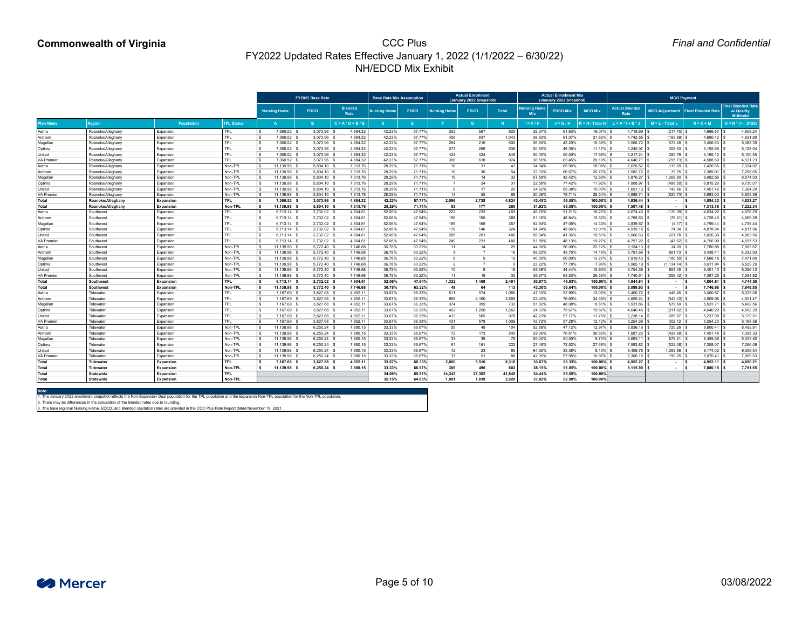*Final and Confidential*

|                              |                        |                                      |                              |                              | FY2022 Base Rate               |                        | <b>Base Rate Mix Assumption</b> |                  |                     | <b>Actual Enrollment</b><br>(January 2022 Snapshot) |               |                                   | <b>Actual Enrollment Mix</b><br>(January 2022 Snapshot) |                       |                               |                         | <b>MCO Payment</b>        |                                                     |
|------------------------------|------------------------|--------------------------------------|------------------------------|------------------------------|--------------------------------|------------------------|---------------------------------|------------------|---------------------|-----------------------------------------------------|---------------|-----------------------------------|---------------------------------------------------------|-----------------------|-------------------------------|-------------------------|---------------------------|-----------------------------------------------------|
|                              |                        |                                      |                              | <b>Nursing Home</b>          | <b>EDCD</b>                    | <b>Blended</b><br>Rate | <b>Nursing Home</b>             | <b>EDCD</b>      | <b>Nursing Home</b> | <b>EDCD</b>                                         | <b>Total</b>  | <b>Nursing Home</b><br><b>MIX</b> | <b>EDCD Mix</b>                                         | <b>MCO Mix</b>        | <b>Actual Blended</b><br>Rate | <b>MCO Adjustment</b>   | <b>Final Blended Rate</b> | <b>Final Blended Rate</b><br>w/ Quality<br>Withhold |
| Plan Name                    | <b>Region</b>          | <b>Population</b>                    | <b>TPL Status</b>            |                              |                                | $C = A * D + B * B$    |                                 |                  |                     | G.                                                  | H             | $I = F / H$                       | $J = G/H$                                               | $K = H / Total F$     | . = A * I + B *               | $M = L - Total L$       | $N = C + M$               | $O = N * (1 - .0125)$                               |
| Aetna                        | Roanoke/Alleghany      | Expansion                            | <b>TPL</b>                   | 7,360.52                     | 3,073.96                       | 4,884.32               | 42.23%                          | 57.77%           | 353                 | 567                                                 | 920           | 38.37%                            | 61.63%                                                  | 19.07% \$             | 4,718.69                      | (217.75)                | $4,666.57$ \$             | 4,608.24                                            |
| Anthem                       | Roanoke/Alleghany      | Expansion                            | <b>TPL</b>                   | 7,360.52                     | 3,073.96                       | 4,884.32               | 42.23%                          | 57.77%           | 406                 | 637                                                 | 1,043         | 38.93%                            | 61.07%                                                  | 21.62%                | 4,742.55                      | (193.89)                | 4,690.43                  | 4,631.80                                            |
| Magellan                     | Roanoke/Alleghany      | Expansion                            | <b>TPL</b>                   | 7,360.52                     | 3,073.96 :                     | 4,884.32               | 42.23%                          | 57.77%           | 284                 | 216                                                 | 500           | 56.80%                            | 43.20%                                                  | 10.36%                | 5,508.72                      | 572.28                  | 5,456.60                  | 5,388.39                                            |
| Optima                       | Roanoke/Alleghany      | Expansion                            | <b>TPL</b>                   | 7,360.52                     | 3,073.96 \$                    | 4,884.32               | 42.23%                          | 57.77%           | 273                 | 266                                                 | 539           | 50.65%                            | 49.35%                                                  | 11.17%                | 5,245.07                      | 308.63                  | 5,192.95                  | 5,128.04                                            |
| Jnited                       | Roanoke/Alleghany      | Expansion                            | <b>TPL</b>                   | 7,360.52                     | 3,073.96 \$                    | 4,884.32               | 42.23%                          | 57.77%           | 424                 | 424                                                 | 848           | 50.00%                            | 50.00%                                                  | 17.58%                | 5,217.24                      | 280.79                  | 5,165.12                  | 5,100.55                                            |
| <b>VA Premie</b>             | Roanoke/Alleghany      | Expansion                            | <b>TPL</b>                   | 7,360.52                     | 3,073.96                       | 4,884.32               | 42.23%                          | 57.77%           | 356                 | 618                                                 | 974           | 36.55%                            | 63.45%                                                  | 20.19%                | 4,640.71                      | (295.73)                | 4,588.59                  | 4,531.23                                            |
| Aetna                        | Roanoke/Alleghany      | Expansion                            | Non-TPI                      | 11,139.98                    | 5,804.10 \$                    | 7,313.76               | 28.29%                          | 71.71%           | 16                  | 31                                                  | 47            | 34.04%                            | 65.96%                                                  | 18.08%                | 7,620.57                      | 113.09                  | 7,426.85                  | 7,334.02                                            |
| Anthem                       | Roanoke/Alleghany      | Expansion                            | Non-TPL                      | 11,139.98                    | 5,804.10 \$                    | 7,313.76               | 28.29%                          | 71.71%           | 18                  | 36                                                  | 54            | 33.33%                            | 66.67%                                                  | 20.77%                | 7,582.72                      | 75.25                   | 7,389.01                  | 7,296.65                                            |
| Magellan                     | Roanoke/Alleghany      | Expansion                            | Non-TPL                      | 11,139.98                    | 5,804.10 \$                    | 7,313.76               | 28.29%                          | 71.719           | 19                  | 14                                                  | 33            | 57.58%                            | 42.42%                                                  | 12.69%                | 8,876.27                      | 1,368.80                | 8,682.56                  | 8,574.03                                            |
| Optima                       | Roanoke/Alleghany      | Expansion                            | Non-TPL                      | 11,139.98                    | 5,804.10 \$                    | 7,313.76               | 28.29%                          | 71.71%           |                     | 24                                                  | 31            | 22.58%                            | 77.42%                                                  | 11.92%                | 7,008.97                      | (498.50)                | 6,815.26                  | 6,730.07                                            |
| Jnited                       | Roanoke/Alleghany      | Expansion                            | Non-TPL                      | 11,139.98                    | 5,804.10 \$                    | 7,313.76               | 28.29%                          | 71.71%           |                     | 17                                                  | 26            | 34.62%                            | 65.38%                                                  | 10.00%                | 7,651.13                      | 143.66                  | 7,457.42                  | 7,364.20                                            |
| /A Premier                   | Roanoke/Alleghany      | Expansion                            | Non-TPL                      | 11,139.98                    | 5,804.10 \$                    | 7,313.76               | 28.29%                          | 71.71%           | 14                  | 55                                                  | 69            | 20.29%                            | 79.71%                                                  | 26.54%                | 6,886.74                      | (620.73)                | 6,693.03                  | 6,609.36                                            |
| Total                        | Roanoke/Alleghany      | Expansion                            | <b>TPL</b>                   | 7,360.52                     | 3,073.96 \$                    | 4,884.32               | 42.23%                          | 57.77%           | 2,096               | 2,728                                               | 4,824         | 43.45%                            | 56.55%                                                  | 100.00%               | 4,936.44                      | . н. н.                 | 4,884.32                  | 4,823.27                                            |
| Total                        | Roanoke/Alleghany      | <b>Expansion</b>                     | <b>Non-TPL</b>               | 11,139.98 \$                 | 5,804.10 \$                    | 7,313.76               | 28.29%                          | 71.71%           | 83                  | 177                                                 | 260           | 31.92%                            | 68.08%                                                  | 100.00%               | 7,507.48                      | $\sim$                  | 7,313.76                  | 7,222.34                                            |
| Aetna                        | Southwest              | Expansion                            | <b>TPL</b>                   | 6,713.14                     | 2,732.02 \$                    | 4,804.61               | 52.06%                          | 47.94%           | 222                 | 233                                                 | 455           | 48.79%                            | 51.21%                                                  | 18.27% \$             | $4,674.45$ \.                 | (170.39)                | 4,634.22 \$               | 4,576.29                                            |
| Anthem                       | Southwest              | Expansion                            | <b>TPL</b>                   | 6,713.14 \$                  | 2,732.02 \$                    | 4,804.61               | 52.06%                          | 47.94%           | 199                 | 190                                                 | 389           | 51.16%                            | 48.84%                                                  | 15.62%                | 4,768.63                      | (76.21)                 | 4,728.40                  | 4,669.29                                            |
| Magellan                     | Southwest              | Expansion                            | <b>TPL</b>                   | 6,713.14                     | 2,732.02 \$                    | 4,804.61               | 52.06%                          | 47.94%           | 189                 | 168                                                 | 357           | 52.94%                            | 47.06%                                                  | 14.33%                | 4,839.67                      | (5.17)                  | 4,799.44                  | 4,739.44                                            |
| Optima                       | Southwest              | Expansion                            | <b>TPL</b>                   | $6,713.14$ \$                | 2,732.02 \$                    | 4,804.61               | 52.06%                          | 47.94%           | 178                 | 146                                                 | 324           | 54.94%                            | 45.06%                                                  | 13.01%                | 4,919.18                      | 74.34                   | 4,878.94                  | 4,817.96                                            |
| Jnited                       | Southwest              | Expansion                            | <b>TPL</b>                   | 6,713.14                     | 2,732.02 \$                    | 4,804.61               | 52.06%                          | 47.94%           | 285                 | 201                                                 | 486           | 58.64%                            | 41.36%                                                  | 19.51%                | 5,066.63                      | 221.78                  | 5,026.39                  | 4,963.56                                            |
| /A Premier                   | Southwest              | Expansion                            | <b>TPL</b>                   | 6,713.14                     | 2,732.02 \$                    | 4,804.61               | 52.06%                          | 47.94%           | 249                 | 231                                                 | 480           | 51.88%                            | 48.13%                                                  | 19.27%                | 4,797.22                      | (47.62)                 | 4,756.99                  | 4,697.53                                            |
| Aetna                        | Southwest              | Expansion                            | Non-TPL                      | 11,139.98                    | 5,772.40 \$                    | 7,746.68               | 36.78%                          | 63.22%           | 11                  | 14                                                  | 25            | 44.00%                            | 56.00%                                                  | 22.12%                | 8,134.13                      | 34.20                   | 7,780.88 \$               | 7,683.62                                            |
| Anthem                       | Southwest              | Expansion                            | Non-TPL                      | 11,139.98                    | 5,772.40 \$                    | 7,746.68               | 36.78%                          | 63.22%           |                     |                                                     |               | 56.25%                            | 43.75%                                                  | 14.16%                | 8,791.66                      | 691.73                  | 8,438.41                  | 8,332.93                                            |
| Magellan                     | Southwes               | Expansion                            | Non-TPL                      | 11,139.98                    | 5,772.40 %                     | 7,746.68               | 36.78%                          | 63.22%           |                     | 9                                                   |               | 40.00%                            | 60.00%                                                  | 13.27%                | 7,919.43                      | (180.50)                | 7,566.18                  | 7,471.60                                            |
| Optima                       | Southwes               | Expansion                            | Non-TPL                      | 11,139.98                    | 5,772.40 \$                    | 7,746.68               | 36.78%                          | 63.22%           |                     |                                                     |               | 22.22%                            | 77.78%                                                  | 7.96%                 | 6,965.19                      | (1, 134.74)             |                           | 6,529.29                                            |
| United                       | Southwest              | Expansion                            | Non-TPL                      | 11,139.98                    | 5,772.40 \$                    | 7,746.68               | 36.78%                          | 63.22%           | 10                  | -8                                                  | 18            | 55.56%                            | 44.44%                                                  | 15.93%                | 8,754.39                      | 654.45                  | $8,401.13$ \$             | 8,296.12                                            |
| <b>VA Premier</b>            | Southwest              | Expansion                            | Non-TPL                      | 11,139.98                    | 5,772.40 \$                    | 7,746.68               | 36.78%                          | 63.22%           | 11                  | 19                                                  | 30            | 36.67%                            | 63.33%                                                  | 26.55%                | 7,740.51                      | (359.42)                | $7,387.26$ \$             | 7,294.92                                            |
| Total                        | <b>Southwest</b>       | Expansion                            | <b>TPL</b>                   | $6,713.14$ \$                | 2,732.02 \$                    | 4,804.61               | 52.06%                          | 47.94%           | 1,322               | 1,169                                               | 2,491         | 53.07%                            | 46.93%                                                  | 100.00%               | 4,844.84                      |                         |                           | 4,744.55                                            |
| Total                        | <b>Southwest</b>       | <b>Expansion</b>                     | <b>Non-TPL</b>               | 11,139.98 \$                 | 5,772.40 \$                    | 7,746.68               | 36.78%                          | 63.22%           | 49                  | 64                                                  | 113           | 43.36%                            | 56.64%                                                  | 100.00%               | 8,099.93                      | $\sim 100$              | 7,746.68                  | 7,649.85                                            |
| Aetna                        | Tidewater              | Expansion                            | <b>TPL</b>                   | 7,167.69 \$                  | 3,827.68 \$                    | 4,952.11               | 33.67%                          | 66.33%           | 511                 | 574                                                 | 1,085         | 47.10%                            | 52.90%                                                  | 13.05%                | $5,400.72$ $\mid$ \$          | 448.45                  |                           | 5,333.06                                            |
| Anthem                       | Tidewater              | Expansion                            | <b>TPL</b>                   | 7,167.69 \$                  | 3,827.68 \$                    | 4,952.11               | 33.67%                          | 66.33%           | 669                 | 2,190                                               | 2,859         | 23.40%                            | 76.60%                                                  | 34.38%                | 4,609.24                      | (343.03)                | $4,609.08$ \.             | 4,551.47                                            |
| Magellan                     | Tidewater              | Expansion                            | <b>TPL</b>                   | 7,167.69 \$                  | 3,827.68 \$                    | 4,952.11               | 33.67%                          | 66.33%           | 374                 | 359                                                 | 733           | 51.02%                            | 48.98%                                                  | 8.81%                 | 5,531.86                      | 579.60                  | $5,531.71$ \\$            | 5,462.56                                            |
| Optima                       | Tidewater              | Expansion                            | <b>TPL</b>                   | 7,167.69 \$                  | 3,827.68 \$                    | 4,952.1'               | 33.67%                          | 66.33%           | 402                 | 1,250                                               | 1,652         | 24.33%                            | 75.67%                                                  | 19.87%                | 4,640.45                      | (311.82)                | $4,640.29$ \$             | 4,582.29                                            |
| United                       | Tidewater<br>Tidewater | Expansion                            | <b>TPL</b>                   | 7,167.69 \$                  | 3,827.68 \$                    | 4,952.11               | 33.67%                          | 66.33%<br>66.33% | 413                 | 565<br>578                                          | 978           | 42.23%                            | 57.77%<br>57.28%                                        | 11.76%<br>12.13%      | 5,238.14                      | 285.87                  | $5,237.98$ \$             | 5,172.51                                            |
| <b>VA Premier</b>            | Tidewater              | Expansion                            | TPL<br>Non-TPL               | 7,167.69 \$                  | $3,827.68$ \$<br>$6,250.24$ \$ | 4,952.11<br>7,880.15   | 33.67%                          | 66.67%           | 431                 |                                                     | 1,009<br>104  | 42.72%                            | 47.12%                                                  | 12.97%                | 5,254.39<br>$8,836.16$ \.     | 302.12<br>720.26        |                           | 5,188.56<br>8,492.91                                |
| Aetna                        | Tidewater              | Expansion                            | Non-TPL                      | 11,139.98 \$<br>11,139.98 \$ | $6,250.24$ \$                  | 7,880.15               | 33.33%                          | 66.67%           | 55<br>72            | 49                                                  | 245           | 52.88%<br>29.39%                  |                                                         | $30.55\%$ \$          | 7,687.23                      |                         | $8,600.41$ :              |                                                     |
| Anthem                       | Tidewater              | Expansion                            | Non-TPL                      |                              | $6,250.24$ \$                  | 7,880.15               | 33.33%                          | 66.67%           | 39                  | 173                                                 | 78            |                                   | 70.61%                                                  | 9.73%                 |                               | (428.68)<br>579.21      | $7,451.48$ \$             | 7,358.33                                            |
| Magellan                     | Tidewater              | Expansion                            | Non-TPL                      | 11,139.98 \$                 | $6,250.24$ \$                  | 7,880.15               | 33.33%<br>33.33%                | 66.67%           | 61                  | 39<br>161                                           | 222           | 50.00%<br>27.48%                  | 50.00%                                                  | 27.68% \$             | 8,695.11                      | (522.08)                | $8,459.36$ \$             | 8,353.62<br>7,266.09                                |
| Optima                       |                        | Expansion                            |                              | 11,139.98 \$                 |                                |                        |                                 |                  |                     |                                                     | 65            |                                   | 72.52%                                                  |                       | 7,593.82                      |                         | $7,358.07$ \$             |                                                     |
| United                       | Tidewater<br>Tidewater | Expansion                            | Non-TPL<br>Non-TPL           | 11,139.98 \$                 | $6,250.24$ \$                  | 7,880.15               | 33.33%                          | 66.67%           | 42<br>37            | 23<br>51                                            | 88            | 64.62%                            | 35.38%                                                  | $8.10\%$ \$<br>10.97% | 9,409.76                      | 1,293.86<br>$190.25$ \$ | $9,174.02$ \$             | 9,059.34                                            |
| <b>VA Premier</b>            | <b>Tidewater</b>       | Expansion                            |                              | 11,139.98 \$                 | $6,250.24$ \$                  | 7,880.15               | 33.33%                          | 66.67%           |                     |                                                     |               | 42.05%                            | 57.95%                                                  |                       | $8,306.15$ \.                 |                         | $8,070.41$ \$             | 7,969.53                                            |
| <b>Total</b>                 | <b>Tidewater</b>       | <b>Expansion</b><br><b>Expansion</b> | <b>TPL</b><br><b>Non-TPL</b> | 7,167.69 \$                  | $3,827.68$ \$<br>$6,250.24$ \$ | 4,952.11               | 33.67%                          | 66.33%           | 2,800<br>306        | 5,516                                               | 8,316         | 33.67%                            | 66.33%                                                  | 100.00%<br>100.00%    | 4,952.27                      |                         | $4,952.11$ $\mid$ 3       | 4,890.21                                            |
| <b>Total</b><br><b>Total</b> | <b>Statewide</b>       | <b>Expansion</b>                     | <b>TPL</b>                   | 11,139.98 \$                 |                                | 7,880.15               | 33.33%<br>34.09%                | 66.67%<br>65.91% | 14,343              | 496                                                 | 802<br>41,645 | 38.15%<br>34.44%                  | 61.85%<br>65.56%                                        | 100.00%               | 8,115.90                      | - 13                    |                           | 7,781.65                                            |
|                              | <b>Statewide</b>       |                                      | Non-TPL                      |                              |                                |                        | 35.15%                          | 64.85%           | 1,081               | 27,302<br>1,839                                     | 2,920         | 37.02%                            | 62.98%                                                  | 100.00%               |                               |                         |                           |                                                     |
| Total                        |                        | Expansion                            |                              |                              |                                |                        |                                 |                  |                     |                                                     |               |                                   |                                                         |                       |                               |                         |                           |                                                     |

**Note:**

1. The January 2022 enrollment snapshot reflects the Non-Expansion Dual population for the TPL population and the Expansion Non-TPL population for the Non-TPL population. 2. There may be differences in the calculation of the blended rates due to rounding.

3. The base regional Nursing Home, EDCD, and Blended capitation rates are provided in the CCC Plus Rate Report dated November 18, 2021.

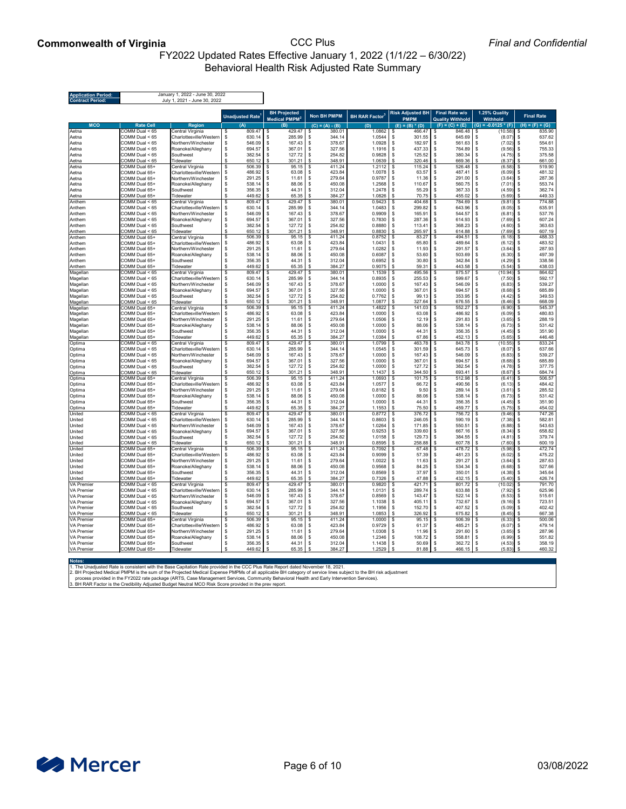## **Commonwealth of Virginia** CCC Plus FY2022 Updated Rates Effective January 1, 2022 (1/1/22 – 6/30/22) Behavioral Health Risk Adjusted Rate Summary

## *Final and Confidential*

| <b>Application Period:</b><br><b>Contract Period:</b> |                                          | January 1, 2022 - June 30, 2022<br>July 1, 2021 - June 30, 2022 |                                     |                                |                                                                |                                   |                                 |                         |                                        |                                |
|-------------------------------------------------------|------------------------------------------|-----------------------------------------------------------------|-------------------------------------|--------------------------------|----------------------------------------------------------------|-----------------------------------|---------------------------------|-------------------------|----------------------------------------|--------------------------------|
|                                                       |                                          |                                                                 |                                     | <b>BH Projected</b>            |                                                                |                                   | <b>Risk Adjusted BH</b>         | <b>Final Rate w/o</b>   | 1.25% Quality                          |                                |
|                                                       |                                          |                                                                 | Unadjusted Rate <sup>1</sup>        | Medical PMPM <sup>2</sup>      | <b>Non BH PMPM</b>                                             | <b>BH RAR Factor</b> <sup>3</sup> | <b>PMPM</b>                     | <b>Quality Withhold</b> | <b>Withhold</b>                        | <b>Final Rate</b>              |
| <b>MCO</b>                                            | <b>Rate Cell</b>                         | <b>Region</b>                                                   | (A)                                 | (B)                            | $(C) = (A) - (B)$                                              | (D)                               | $(E) = (B) * (D)$               | $(F) = (C) + (E)$       | $(G) = -0.0125 * (F)$                  | $(H) = (F) + (G)$              |
| Aetna                                                 | $COMM$ Dual < $65$                       | Central Virginia                                                | 809.47<br>\$                        | 429.47<br>-\$                  | 380.01<br>\$                                                   | 1.0862                            | 466.47<br>- \$                  | 846.48<br>\$.           | (10.58)<br>- \$                        | 835.90<br>-\$                  |
| Aetna                                                 | COMM Dual < 65                           | Charlottesville/Western                                         | 630.14<br>\$                        | 285.99<br>-\$                  | 344.14<br>\$                                                   | 1.0544                            | 301.55<br>-\$<br>-\$            | 645.69<br>\$            | (8.07)<br>-\$                          | 637.62<br>-\$                  |
| Aetna                                                 | $COMM$ Dual < $65$<br>$COMM$ Dual < $65$ | Northern/Winchester                                             | \$<br>546.09<br>\$<br>694.57        | 167.43<br>\$<br>367.01<br>- \$ | 378.67<br>$\boldsymbol{\mathsf{S}}$<br>327.56<br>$\sqrt[6]{2}$ | 1.0928<br>1.1916                  | 182.97<br>437.33<br>-\$         | 561.63<br>764.89        | $\sqrt{3}$<br>(7.02)<br>(9.56)<br>- \$ | 554.61<br>-\$<br>755.33<br>-\$ |
| Aetna<br>Aetna                                        | $COMM$ Dual < $65$                       | Roanoke/Alleghany<br>Southwest                                  | \$<br>382.54                        | 127.72<br>-S                   | \$<br>254.82                                                   | 0.9828                            | 125.52<br>-\$                   | 380.34                  | - \$<br>(4.75)                         | 375.58<br>-\$                  |
| Aetna                                                 | COMM Dual < 65                           | Tidewater                                                       | 650.12<br>\$                        | 301.21<br>\$                   | \$<br>348.91                                                   | 1.0639                            | 320.46<br>-\$                   | 669.36<br>\$            | (8.37)<br>\$                           | 661.00<br>-\$                  |
| Aetna                                                 | COMM Dual 65+                            | Central Virginia                                                | 506.39<br>\$                        | 95.15<br>\$                    | \$<br>411.24                                                   | $1.2112$ \$                       | 115.24                          | 526.48<br>\$            | (6.58)<br>\$                           | 519.90<br>\$                   |
| Aetna                                                 | COMM Dual 65+                            | Charlottesville/Western                                         | 486.92<br>\$                        | 63.08<br>-\$                   | 423.84<br>\$                                                   | 1.0078                            | 63.57<br>- \$                   | 487.41<br>-S            | (6.09)<br>- \$                         | 481.32<br>-\$                  |
| Aetna                                                 | COMM Dual 65+                            | Northern/Winchester                                             | 291.25<br>\$                        | 11.61<br>\$                    | 279.64<br>\$                                                   | 0.9787                            | -\$<br>11.36                    | 291.00<br>\$            | (3.64)<br>\$                           | 287.36<br>\$                   |
| Aetna                                                 | COMM Dual 65+                            | Roanoke/Alleghany                                               | \$<br>538.14                        | 88.06<br>\$                    | \$<br>450.08                                                   | 1.2568                            | 110.67<br>-\$                   | 560.75                  | $(7.01)$ \$<br>-\$                     | 553.74                         |
| Aetna                                                 | COMM Dual 65+                            | Southwest                                                       | \$<br>356.35                        | 44.31<br>-\$                   | \$<br>312.04                                                   | 1.2478                            | 55.29                           | 367.33                  | $(4.59)$ \$<br>-\$                     | 362.74                         |
| Aetna                                                 | COMM Dual 65+                            | Tidewater                                                       | \$<br>449.62                        | 65.35<br>\$.                   | \$<br>384.27                                                   | 1.0826                            | 70.75                           | 455.02<br>\$            | (5.69)<br>\$                           | 449.33<br>-\$                  |
| Anthem                                                | $COMM$ Dual $< 65$                       | Central Virginia                                                | \$<br>809.47                        | 429.47<br>-S                   | \$<br>380.01                                                   | 0.9423                            | 404.68<br>-\$                   | 784.69<br>\$.           | $(9.81)$ \$<br>-\$                     | 774.88                         |
| Anthem                                                | COMM Dual < 65                           | Charlottesville/Western                                         | 630.14<br>\$                        | 285.99<br>-\$                  | 344.14<br>\$                                                   | 1.0483                            | 299.82<br>-\$                   | 643.96                  | (8.05)<br>- \$                         | 635.91<br>-\$                  |
| Anthem                                                | $COMM$ Dual < $65$                       | Northern/Winchester                                             | \$<br>546.09                        | 167.43<br>-\$                  | 378.67<br>\$                                                   | 0.9909                            | 165.91<br>-\$                   | 544.57<br>\$            | (6.81)<br>\$                           | 537.76<br>-\$                  |
| Anthem                                                | $COMM$ Dual < $65$<br>$COMM$ Dual $< 65$ | Roanoke/Alleghany<br>Southwest                                  | 694.57<br>\$<br>382.54<br>\$        | 367.01<br>\$<br>127.72<br>\$   | \$<br>327.56<br>254.82<br>\$                                   | 0.7830<br>0.8880                  | 287.36<br>-\$<br>113.41<br>-\$  | 614.93<br>368.23<br>\$  | (7.69)<br>- \$<br>\$<br>(4.60)         | \$<br>607.24<br>363.63<br>-\$  |
| Anthem<br>Anthem                                      | COMM Dual < 65                           | Tidewater                                                       | \$<br>650.12                        | 301.21                         | \$<br>348.91                                                   | 0.8830                            | 265.97<br>-\$                   | 614.88<br>\$            | \$<br>(7.69)                           | \$<br>607.19                   |
| Anthem                                                | COMM Dual 65+                            | Central Virginia                                                | 506.39<br>\$                        | 95.15<br>-\$                   | \$<br>411.24                                                   | $0.8752$ \$                       | 83.27                           | 494.51                  | (6.18)                                 | 488.33<br>- \$                 |
| Anthem                                                | COMM Dual 65+                            | Charlottesville/Western                                         | 486.92<br>\$                        | 63.08<br>\$                    | 423.84<br>\$                                                   | $1.0431$ \$                       | 65.80                           | 489.64<br>-\$           | (6.12)<br>- \$                         | 483.52<br>-\$                  |
| Anthem                                                | COMM Dual 65+                            | Northern/Winchester                                             | 291.25<br>\$                        | 11.61<br>\$                    | 279.64<br>\$                                                   | 1.0282                            | 11.93<br>-\$                    | 291.57<br>\$            | \$<br>(3.64)                           | 287.93<br>-\$                  |
| Anthem                                                | COMM Dual 65+                            | Roanoke/Alleghany                                               | \$<br>538.14                        | 88.06<br>- \$                  | 450.08<br>\$                                                   | 0.6087                            | 53.60<br>- \$                   | 503.69<br>\$            | (6.30)<br>- \$                         | 497.39<br>-\$                  |
| Anthem                                                | COMM Dual 65+                            | Southwest                                                       | \$<br>356.35                        | 44.31<br>\$                    | 312.04<br>$\sqrt[6]{3}$                                        | 0.6952                            | 30.80<br>-\$                    | 342.84<br>\$            | (4.29)<br>- \$                         | 338.56<br>-\$                  |
| Anthem                                                | COMM Dual 65+                            | Tidewater                                                       | 449.62<br>\$                        | 65.35<br>\$                    | 384.27<br>\$                                                   | 0.9075                            | 59.31<br>-\$                    | 443.58<br>-\$           | \$<br>(5.54)                           | 438.03<br>-\$                  |
| Magellan                                              | $\overline{COMM}$ Dual < 65              | Central Virginia                                                | 809.47<br>\$                        | 429.47                         | \$<br>380.01                                                   | 1.1539                            | 495.56<br>-\$                   | 875.57                  | $(10.94)$ \$<br>\$                     | 864.62                         |
| Magellan                                              | $COMM$ Dual < $65$                       | Charlottesville/Western                                         | 630.14<br>\$                        | 285.99<br>-\$                  | 344.14<br>\$                                                   | 0.8935                            | 255.53<br>- \$                  | 599.67<br>\$            | $(7.50)$ \$                            | 592.17                         |
| Magellan                                              | COMM Dual < 65                           | Northern/Winchester                                             | 546.09<br>\$                        | 167.43<br>-\$                  | 378.67<br>\$                                                   | 1.0000                            | 167.43<br>- \$                  | 546.09<br>\$            | - \$<br>(6.83)                         | 539.27<br>-\$                  |
| Magellan                                              | $COMM$ Dual $< 65$                       | Roanoke/Alleghany                                               | 694.57<br>\$                        | 367.01                         | 327.56<br>-\$                                                  | 1.0000                            | 367.01<br>- \$                  | 694.57<br>-\$           | - \$<br>(8.68)                         | 685.89<br>-\$                  |
| Magellan                                              | COMM Dual < 65                           | Southwest                                                       | \$<br>382.54                        | 127.72<br>-\$                  | 254.82<br>- \$                                                 | $0.7762$ \$                       | $99.13$   \$                    | 353.95                  | (4.42)<br>l \$                         | 349.53<br>-\$                  |
| Magellan                                              | COMM Dual < 65                           | Tidewater                                                       | 650.12<br>\$                        | \$<br>301.21                   | $\sqrt[6]{3}$<br>348.91                                        | 1.0877                            | \$<br>327.64                    | \$<br>676.55            | - \$<br>(8.46)                         | \$<br>668.09                   |
| Magellan                                              | COMM Dual 65+<br>COMM Dual 65+           | Central Virginia<br>Charlottesville/Western                     | 506.39<br>\$<br>486.92<br>- \$      | \$<br>95.15<br>63.08<br>-\$    | \$<br>411.24<br>423.84<br>\$                                   | 1.4822<br>1.0000                  | 141.03<br>-\$<br>63.08<br>- \$  | 552.27<br>\$<br>486.92  | - \$<br>(6.90)<br>$(6.09)$ \$          | 545.37<br>-\$<br>480.83        |
| Magellan<br>Magellan                                  | COMM Dual 65+                            | Northern/Winchester                                             | 291.25<br>\$                        | 11.61<br>- \$                  | $\mathfrak{S}$<br>279.64                                       | 1.0506                            | 12.19                           | 291.83                  | $(3.65)$ \$                            | 288.19                         |
| Magellan                                              | COMM Dual 65+                            | Roanoke/Alleghany                                               | $\boldsymbol{\mathsf{S}}$<br>538.14 | 88.06<br>- \$                  | \$<br>450.08                                                   | 1.0000                            | 88.06<br>- \$                   | 538.14                  | (6.73)                                 | 531.42<br>-\$                  |
| Magellan                                              | COMM Dual 65+                            | Southwest                                                       | 356.35<br>\$                        | 44.31<br>- \$                  | 312.04<br>\$                                                   | 1.0000                            | 44.31<br>- \$                   | 356.35                  | - \$<br>(4.45)                         | 351.90<br>-\$                  |
| Magellan                                              | COMM Dual 65+                            | Tidewater                                                       | 449.62<br>\$                        | 65.35<br>\$                    | 384.27<br>\$                                                   | 1.0384                            | 67.86<br>- \$                   | 452.13<br>\$            | \$<br>(5.65)                           | 446.48<br>-\$                  |
| Optima                                                | COMM Dual < 65                           | Central Virginia                                                | 809.47                              | 429.47<br>\$                   | $\mathfrak{S}$<br>380.01                                       | 1.0799                            | 463.78<br>\$                    | 843.78<br>\$            | (10.55)<br>\$                          | 833.24<br>\$                   |
| Optima                                                | COMM Dual < 65                           | Charlottesville/Western                                         | 630.14<br>-\$                       | 285.99<br>-96                  | 344.14                                                         | 1.0545                            | 301.59<br>-\$                   | 645.73                  | (8.07)<br>- \$                         | 637.66<br>-\$                  |
| Optima                                                | $COMM$ Dual $< 65$                       | Northern/Winchester                                             | 546.09<br>\$                        | 167.43                         | 378.67<br>\$                                                   | 1.0000                            | 167.43<br>-\$                   | 546.09<br>\$.           | (6.83)<br>- \$                         | 539.27<br>-\$                  |
| Optima                                                | COMM Dual < 65                           | Roanoke/Alleghany                                               | 694.57<br>\$                        | 367.01                         | 327.56<br>\$                                                   | 1.0000                            | 367.01<br>-\$                   | 694.57                  | \$<br>(8.68)                           | 685.89<br>-\$                  |
| Optima                                                | $COMM$ Dual < $65$                       | Southwest                                                       | \$<br>382.54                        | 127.72                         | 254.82                                                         | 1.0000                            | 127.72<br>- \$                  | 382.54                  | (4.78)                                 | 377.75<br>-\$                  |
| Optima                                                | COMM Dual < 65                           | Tidewater                                                       | \$<br>650.12                        | 301.21<br>-\$                  | \$<br>348.91                                                   | 1.1437                            | 344.50<br>-\$                   | 693.41<br>\$            | - \$<br>(8.67)                         | 684.74<br>-\$                  |
| Optima                                                | COMM Dual 65+                            | Central Virginia                                                | 506.39<br>\$                        | 95.15<br>\$                    | \$<br>411.24                                                   | $1.0693$ \$                       | 101.75                          | 512.98<br>- \$          | $(6.41)$ \$<br>- \$                    | 506.57                         |
| Optima                                                | COMM Dual 65+                            | Charlottesville/Western                                         | 486.92<br>\$                        | 63.08<br>- \$                  | 423.84<br>\$                                                   | 1.0577                            | 66.72<br>- \$                   | 490.56<br>- \$          | (6.13)<br>- \$                         | 484.42<br>-\$                  |
| Optima                                                | COMM Dual 65+                            | Northern/Winchester                                             | 291.25<br>\$                        | 11.61<br>\$<br>88.06<br>-\$    | 279.64<br>$\sqrt[6]{3}$<br>450.08<br>\$                        | 0.8182<br>1.0000                  | -\$<br>9.50<br>88.06<br>- \$    | 289.14<br>538.14        | (3.61)<br>-\$<br>(6.73)                | 285.52<br>-\$<br>531.42        |
| Optima<br>Optima                                      | COMM Dual 65+<br>COMM Dual 65+           | Roanoke/Alleghany<br>Southwest                                  | \$<br>538.14<br>356.35<br>\$        | 44.31<br>-\$                   | $\boldsymbol{\mathsf{S}}$<br>312.04                            | 1.0000                            | 44.31<br>- \$                   | 356.35                  | - \$<br>- \$<br>(4.45)                 | -\$<br>351.90<br>- \$          |
| Optima                                                | COMM Dual 65+                            | Tidewater                                                       | 449.62<br>\$                        | 65.35                          | 384.27<br>\$                                                   | 1.1553                            | 75.50                           | 459.77                  | \$<br>(5.75)                           | -\$<br>454.02                  |
| United                                                | $COMM$ Dual < $65$                       | Central Virginia                                                | 809.47                              | 429.47                         | 380.01                                                         | $0.8772$ \$                       | 376.72                          | 756.72                  | (9.46)                                 | 747.26<br>-\$                  |
| United                                                | $COMM$ Dual $< 65$                       | Charlottesville/Western                                         | 630.14<br>\$                        | 285.99<br>- \$                 | 344.14<br>\$                                                   | 0.8603                            | 246.05<br>- \$                  | 590.19<br>-8            | (7.38)<br>- \$                         | 582.81<br>-\$                  |
| <b>United</b>                                         | COMM Dual < 65                           | Northern/Winchester                                             | \$<br>546.09                        | 167.43<br>- \$                 | 378.67                                                         | 1.0264                            | 171.85<br>- \$                  | 550.51                  | (6.88)<br>- \$                         | 543.63<br>- \$                 |
| <b>United</b>                                         | COMM Dual < 65                           | Roanoke/Alleghany                                               | \$<br>694.57                        | 367.01                         | 327.56<br>\$                                                   | 0.9253                            | -\$<br>339.60                   | 667.16<br>\$.           | (8.34)<br>- \$                         | 658.82<br>-\$                  |
| United                                                | COMM Dual < 65                           | Southwest                                                       | 382.54<br>\$                        | 127.72                         | 254.82<br>\$                                                   | 1.0158                            | 129.73<br>-\$                   | 384.55                  | (4.81)<br>- \$                         | 379.74<br>-\$                  |
| <b>United</b>                                         | COMM Dual < 65                           | Tidewater                                                       | 650.12<br>\$                        | 301.21                         | 348.91<br>\$                                                   | 0.8595                            | 258.88<br>-\$                   | 607.78<br>\$.           | (7.60)<br>\$                           | -\$<br>600.19                  |
| United                                                | COMM Dual 65+                            | Central Virginia                                                | 506.39                              | 95.15<br>\$                    | $\mathfrak{S}$<br>411.24                                       | 0.7092                            | 67.48<br>-\$                    | 478.72<br>\$            | (5.98)                                 | 472.74<br>-\$                  |
| United                                                | COMM Dual 65+                            | Charlottesville/Western                                         | 486.92<br>\$                        | 63.08<br>-S                    | 423.84<br>\$                                                   | 0.9099                            | 57.39<br>- \$                   | 481.23                  | (6.02)                                 | 475.22<br>-\$                  |
| United                                                | COMM Dual 65+                            | Northern/Winchester                                             | 291.25<br>\$                        | 11.61<br>- \$                  | \$<br>279.64                                                   | 1.0022                            | 11.63<br>-\$                    | 291.27                  | (3.64)                                 | 287.63<br>- \$                 |
| United                                                | COMM Dual 65+                            | Roanoke/Alleghany                                               | 538.14<br>\$                        | 88.06<br>- \$                  | 450.08<br>\$                                                   | 0.9568                            | 84.25<br>- \$                   | 534.34                  | (6.68)<br>- \$                         | 527.66<br>- \$                 |
| <b>United</b>                                         | COMM Dual 65+                            | Southwest                                                       | \$<br>356.35                        | 44.31<br>\$                    | 312.04<br>\$                                                   | 0.8569                            | 37.97<br>-\$                    | 350.01                  | (4.38)<br>\$                           | 345.64<br>-\$                  |
| <b>United</b>                                         | COMM Dual 65+                            | Tidewater                                                       | 449.62<br>\$                        | 65.35<br>\$                    | 384.27<br>$\boldsymbol{\mathsf{S}}$                            | 0.7326                            | 47.88<br>-\$                    | 432.15<br>-\$           | (5.40)<br>-\$                          | \$<br>426.74                   |
| <b>VA Premier</b>                                     | COMM Dual < 65                           | Central Virginia                                                | 809.47                              | 429.47<br>-\$                  | \$<br>380.01                                                   | 0.9820                            | 421.71<br>-\$                   | 801.72                  | (10.02)<br>- \$                        | 791.70<br>-\$                  |
| <b>VA Premier</b><br><b>VA Premier</b>                | COMM Dual < 65<br>COMM Dual < 65         | Charlottesville/Western<br>Northern/Winchester                  | 630.14<br>- \$<br>\$<br>546.09      | 285.99<br>- \$<br>167.43       | 344.14<br>\$<br>378.67                                         | 1.0131<br>0.8569                  | 289.74<br>- \$<br>143.47<br>-\$ | 633.88<br>522.14        | (7.92)<br>$(6.53)$ \$                  | 625.96<br>-\$<br>515.61        |
| VA Premier                                            | $COMM$ Dual < $65$                       | Roanoke/Alleghany                                               | \$<br>694.57                        | 367.01                         | \$<br>327.56                                                   | 1.1038                            | -\$<br>$405.11$ \ \$            | 732.67                  | -\$<br>(9.16)                          | 723.51<br>- \$                 |
| <b>VA Premier</b>                                     | COMM Dual < 65                           | Southwest                                                       | \$                                  | $127.72$ \$                    | 254.82                                                         | $1.1956$ \$                       | $152.70$ \$                     | $407.52$ \$             | $(5.09)$ \$                            | 402.42                         |
| VA Premier                                            | COMM Dual < 65                           | Tidewater                                                       | $650.12$ \$<br>\$                   | $301.21$ \$                    | 348.91                                                         | $1.0853$ \$                       | $326.92$ \$                     | $675.82$ \$             | $(8.45)$ \$                            | 667.38                         |
| <b>VA Premier</b>                                     | COMM Dual 65+                            | Central Virginia                                                | $\sqrt[6]{3}$<br>$506.39$ \ \$      | 95.15                          | \$<br>411.24                                                   | $1.0000$ \ \$                     | $95.15$ \$                      | $506.39$ \$             | $(6.33)$ \$                            | 500.06                         |
| <b>VA Premier</b>                                     | COMM Dual 65+                            | Charlottesville/Western                                         | $486.92$   \$<br>- \$               | 63.08                          | 423.84<br>- \$                                                 | $0.9729$ \$                       | 61.37   \$                      | $485.21$ \ \$           | $(6.07)$ \$                            | 479.14                         |
| VA Premier                                            | COMM Dual 65+                            | Northern/Winchester                                             | $291.25$   \$<br>\$                 | 11.61                          | 279.64<br>\$                                                   | $1.0308$ \$                       | $11.96$   \$                    | 291.60                  | $(3.65)$ \$<br>1\$                     | 287.96                         |
| <b>VA Premier</b>                                     | COMM Dual 65+                            | Roanoke/Alleghany                                               | \$                                  | 88.06                          | 450.08<br>\$                                                   | $1.2346$ \$                       | $108.72$ \$                     | 558.81                  | $(6.99)$ \$<br>l \$                    | 551.82                         |
| VA Premier                                            | COMM Dual 65+                            | Southwest                                                       | \$<br>$356.35$   \$                 | 44.31                          | 312.04<br>\$                                                   |                                   | $50.69$   \$                    | $362.72$ \$             | $(4.53)$ \$                            | 358.19                         |
| <b>VA Premier</b>                                     | COMM Dual 65+                            | Tidewater                                                       | \$<br>449.62 $\frac{1}{2}$          | $65.35$ \$                     | 384.27                                                         | $1.2529$ \$                       |                                 | $466.15$ \$             | $(5.83)$ \$                            | 460.32                         |

**Notes:**

1. The Unadjusted Rate is consistent with the Base Capitation Rate provided in the CCC Plus Rate Report dated November 18, 2021.

2. BH Projected Medical PMPM is the sum of the Projected Medical Expense PMPMs of all applicable BH category of service lines subject to the BH risk adjustment

process provided in the FY2022 rate package (ARTS, Case Management Services, Community Behavioral Health and Early Intervention Services).

3. BH RAR Factor is the Credibility Adjusted Budget Neutral MCO Risk Score provided in the prev report.

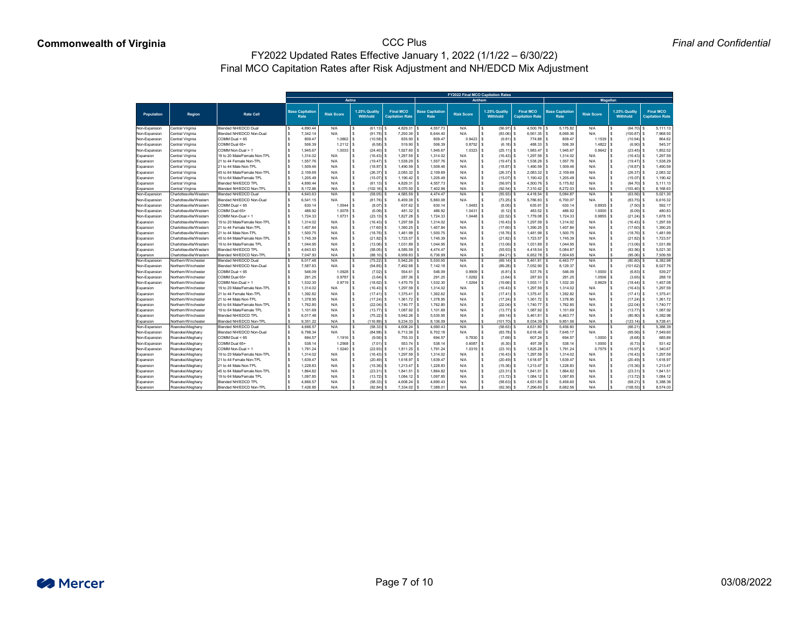|                        |                                        |                                                   |                                       |                   |                                 |                                            |                                       |                   | <b>FY2022 Final MCO Capitation Rates</b> |                                            |                                       |                   |                                  |                                           |
|------------------------|----------------------------------------|---------------------------------------------------|---------------------------------------|-------------------|---------------------------------|--------------------------------------------|---------------------------------------|-------------------|------------------------------------------|--------------------------------------------|---------------------------------------|-------------------|----------------------------------|-------------------------------------------|
|                        |                                        |                                                   |                                       | Aetna             |                                 |                                            |                                       |                   | <b>Anthem</b>                            |                                            |                                       | <b>Magellan</b>   |                                  |                                           |
| <b>Population</b>      | <b>Region</b>                          | <b>Rate Cell</b>                                  | <b>Base Capitation</b><br><b>Rate</b> | <b>Risk Score</b> | 1.25% Qualit<br><b>Withhold</b> | <b>Final MCO</b><br><b>Capitation Rate</b> | <b>Base Capitation</b><br><b>Rate</b> | <b>Risk Score</b> | 1.25% Quality<br><b>Withhold</b>         | <b>Final MCO</b><br><b>Capitation Rate</b> | <b>Base Capitation</b><br><b>Rate</b> | <b>Risk Score</b> | 1.25% Quality<br><b>Withhold</b> | <b>Final MCO</b><br><b>Capitation Rat</b> |
| Non-Expansion          | Central Virginia                       | <b>Blended NH/EDCD Dual</b>                       | 4,890.44                              | N/A               | (61.13)                         |                                            | 4,557.73                              | N/A               | (56.97)                                  | 4,500.76                                   | 5,175.82                              | N/A               | (64.70)                          | 5,111.13                                  |
| Non-Expansion          | Central Virginia                       | Blended NH/EDCD Non-Dual                          | 7,342.14                              | N/A               | $(91.78)$ \$                    | 7,250.36 \$                                | 6,644.40                              | N/A               | (83.06)                                  | $6,561.35$ \$                              | 8,069.36                              | N/A               | (100.87)                         | 7,968.50                                  |
| Non-Expansion          | Central Virginia                       | COMM Dual < 65                                    | 809.47                                | 1.0862            | (10.58)                         | $835.90$ \ \;                              | 809.47                                | 0.9423            | (9.81)                                   | $774.88$ \ \$                              | 809.47                                | 1.1539            | (10.94)                          | 864.62                                    |
| Non-Expansion          | Central Virginia                       | COMM Dual 65+                                     | 506.39                                | $1.2112$ $\mid$ 3 | (6.58)                          | $519.90$ \$                                | 506.39                                | 0.8752            | (6.18)                                   | 488.33                                     | 506.39                                | 1.4822            | (6.90)                           | 545.37                                    |
| Non-Expansion          | Central Virginia                       | COMM Non-Dual > 1                                 | 1,945.67                              |                   | $(24.40)$ \$                    | 1,927.60 \$                                | 1,945.67                              | 1.0323            | (25.11)                                  | $1,983.47$ \$                              | 1,945.67                              | 0.9642            | (23.45)                          | 1,852.52                                  |
| Expansion              | Central Virginia                       | 19 to 20 Male/Female Non-TPL                      | 1,314.02                              | N/A               | (16.43)                         | $1,297.59$ \ \                             | 1,314.02                              | N/A               | (16.43)                                  | $1,297.59$ $\mid$ 3                        | 1,314.02                              |                   | (16.43)                          | 1,297.59                                  |
| Expansion              | Central Virginia                       | 21 to 44 Female Non-TPL                           | 1,557.76                              | N/A               | (19.47)                         | $1,538.29$ \$                              | 1,557.76                              | N/A               | (19.47                                   | 1,538.29                                   | 1,557.76                              | N/A               | (19.47)                          | 1,538.29                                  |
| Expansion              | Central Virginia                       | 21 to 44 Male Non-TPL                             | 1,509.46                              | N/A               | (18.87)                         | $1,490.59$ \$                              | 1,509.46                              | N/A               | (18.87)                                  | 1,490.59                                   | 1,509.46                              | N/A               | (18.87)                          | 1,490.59                                  |
| Expansion              | Central Virginia                       | 45 to 64 Male/Female Non-TPL                      | 2,109.69                              | N/A               | (26.37)                         | $2,083.32$ \$                              | 2,109.69                              | N/A               | (26.37)                                  |                                            | 2,109.69                              | N/A               | (26.37)                          | 2,083.32                                  |
| Expansion              | Central Virginia                       | 19 to 64 Male/Female TPL                          | 1,205.49                              | N/A               | (15.07)                         | 1,190.42 S                                 | 1,205.49                              | N/A               | (15.07)                                  | 1,190.42                                   | 1,205.49                              | N/A               | (15.07)                          | 1,190.42                                  |
| Expansion              | Central Virginia                       | <b>Blended NH/EDCD TPL</b>                        | 4,890.44                              | N/A               | (61.13)                         | $4,829.31$ \.                              | 4,557.73                              | N/A               | (56.97)                                  | 4,500.76                                   | 5,175.82                              | N/A               | (64.70)                          | 5,111.13                                  |
| Expansion              | Central Virginia                       | <b>Blended NH/EDCD Non-TPL</b>                    | 8,172.66                              | N/A               | $(102.16)$ :                    | 8,070.50                                   | 7,402.96                              | N/A               | (92.54)                                  | 7,310.42                                   | 8,272.03                              |                   | (103.40)                         | 8,168.63                                  |
| Non-Expansion          | Charlottesville/Western                | <b>Blended NH/EDCD Dual</b>                       | 4,643.63                              | N/A               | (58.05)                         | 4,585.59                                   | 4,474.47                              | N/A               | (55.93)                                  | 4,418.54                                   | 5,084.87                              | N/A               | (63.56)                          | 5,021.30                                  |
| Non-Expansion          | Charlottesville/Western                | <b>Blended NH/EDCD Non-Dual</b>                   | 6,541.15                              | N/A               | (81.76)                         | 6,459.38                                   | 5,860.08                              | N/A               | (73.25)                                  | $5,786.83$ \$                              | 6,700.07                              | N/A               | (83.75)                          | 6,616.32                                  |
| Non-Expansion          | Charlottesville/Western                | COMM Dual < 65                                    | 630.14                                | 1.0544            | (8.07)                          | $637.62$ \ \;                              | 630.1                                 | 1.0483            | (8.05)                                   | 635.91                                     | 630.14                                | 0.8935            | (7.50)                           | 592.17                                    |
| Non-Expansion          | Charlottesville/Western                | COMM Dual 65+                                     | 486.92                                | $1.0078$ :        | (6.09)                          |                                            | 486.92                                | 1.0431            | (6.12)                                   | $483.52$ \$                                | 486.92                                | 1.0000            | (6.09)                           | 480.83                                    |
| Non-Expansion          | Charlottesville/Western                | COMM Non-Dual > 1                                 | 1,724.33                              | $1.0731$ :        | (23.13)                         | 1,827.28 \$                                | 1,724.33                              | 1.0448            | (22.52)                                  | 1,779.08                                   | 1,724.33                              | 0.9855            | (21.24)                          | 1,678.15                                  |
| Expansion              | Charlottesville/Western                | 19 to 20 Male/Female Non-TPL                      | 1,314.02                              | N/A               | (16.43)                         | $1,297.59$ \$                              | 1,314.02                              | N/A               | (16.43)                                  | $1,297.59$ \$                              | 1,314.02                              | N/A               | (16.43)                          | 1,297.59                                  |
| Expansion              | Charlottesville/Western                | 21 to 44 Female Non-TPL                           | 1,407.84                              | N/A               | (17.60)                         | $1,390.25$ \ \                             | 1,407.84                              | N/A               | (17.60)                                  | $1,390.25$ \$                              | 1,407.84                              | N/A               | (17.60)                          | 1,390.25                                  |
| Expansion              | Charlottesville/Western                | 21 to 44 Male Non-TPL                             | 1,500.75                              | N/A               | (18.76)                         | 1,481.99   \$                              | 1,500.75                              | N/A               | (18.76)                                  | 1,481.99                                   | 1,500.75                              |                   | (18.76)                          | 1,481.99                                  |
| Expansion              | Charlottesville/Western                | 45 to 64 Male/Female Non-TPL                      | 1,745.39                              | N/A               | (21.82)                         | $1,723.57$ \                               | 1,745.39                              | N/A               | (21.82)                                  | 1,723.57                                   | 1,745.39                              |                   | $(21.82)$ \:                     | 1,723.57                                  |
| Expansion              | Charlottesville/Western                | 19 to 64 Male/Female TPL                          | 1,044.95                              | N/A               | (13.06)                         | 1,031.89                                   | 1,044.95                              | N/A               | (13.06)                                  | 1,031.89                                   | 1,044.95                              |                   | (13.06)                          | 1,031.89                                  |
| Expansion              | Charlottesville/Western                | <b>Blended NH/EDCD TPL</b>                        | 4,643.63                              | N/A               | (58.05)                         | $4,585.59$ \.                              | 4,474.47                              | N/A               | (55.93)                                  | $4,418.54$ \\$                             | 5,084.87                              | N/A               | (63.56)                          | 5,021.30                                  |
| Expansion              | Charlottesville/Western                | Blended NH/EDCD Non-TPL                           | 7,047.93                              | N/A               | (88.10)                         | 6,959.83                                   | 6,736.99                              | N/A               | (84.2)                                   | 6,652.78                                   | 7,604.65                              | N/A               | (95.06)                          | 7,509.59                                  |
| Non-Expansion          | Northern/Winchester                    | <b>Blended NH/EDCD Dual</b>                       | 6,017.48                              | N/A               | (75.22)                         | 5,942.26                                   | 5,530.95                              | N/A               | (69.14)                                  | $5,461.81$ \\$                             | 6,463.77                              | N/A               | (80.80)                          | 6,382.98                                  |
| Non-Expansion          | Northern/Winchester                    | Blended NH/EDCD Non-Dual                          | 7,587.83                              | N/A               | $(94.85)$ \$                    | 7,492.98 \$                                | 7,142.18                              | N/A               | (89.28)                                  | 7,052.90 \$                                | 8,129.37                              | N/A               | (101.62)                         | 8,027.76                                  |
| Non-Expansion          | Northern/Winchester                    | COMM Dual < 65                                    | 546.09                                | $1.0928$ :        | $(7.02)$ \$                     | $554.61$ \\$                               | 546.09                                | 0.9909            | (6.81)                                   | 537.76                                     | 546.09                                | 1.0000            | (6.83)                           | 539.27                                    |
| Non-Expansion          | Northern/Winchester                    | COMM Dual 65+                                     | 291.25                                | $0.9787$ \$       | $(3.64)$ \$                     | $287.36$ \$                                | 291.25                                | 1.0282            | (3.64)                                   | $287.93$ \$                                | 291.25                                | 1.0506            | $(3.65)$ \.                      | 288.19                                    |
| Non-Expansion          | Northern/Winchester                    | COMM Non-Dual > 1                                 | 1,532.30                              | $0.9719$ :        | (18.62)                         | $1,470.70$ \$                              | 1,532.30                              | 1.0264            | (19.66)                                  | $1,553.11$ \$                              | 1,532.30                              | 0.9629            | (18.44)                          | 1,457.08                                  |
| Expansion              | Northern/Winchester                    | 19 to 20 Male/Female Non-TPL                      | 1,314.02                              | N/A               | $(16.43)$ \$                    | $1,297.59$ \$                              | 1,314.02                              | N/A               | (16.43)                                  | $1,297.59$ \$                              | 1,314.02                              | N/A               | (16.43)                          | 1,297.59                                  |
| Expansion              | Northern/Winchester                    | 21 to 44 Female Non-TPL                           | 1,392.82                              | N/A               | $(17.41)$ \$                    | $1,375.41$ \$                              | 1,392.82                              | N/A               | (17.41)                                  | $1,375.41$ \$                              | 1,392.82                              | N/A               | (17.41)                          | 1,375.41                                  |
| Expansion              | Northern/Winchester                    | 21 to 44 Male Non-TPL                             | 1,378.95                              | N/A               | (17.24)                         | $1,361.72$ \$                              | 1,378.95                              | N/A               | (17.24)                                  | $1,361.72$ \$                              | 1,378.95                              | N/A               | (17.24)                          | 1,361.72                                  |
| Expansion              | Northern/Winchester                    | 45 to 64 Male/Female Non-TPL                      | 1,762.80                              | N/A               | (22.04)                         | $1,740.77$ \$                              | 1,762.80                              | N/A               | (22.04)                                  | 1,740.77                                   | 1,762.80                              | N/A               | (22.04)                          | 1,740.77                                  |
| Expansion              | Northern/Winchester                    | 19 to 64 Male/Female TPL                          | 1,101.69                              | N/A               | (13.77)                         | $1,087.92$ \$                              | 1,101.69                              | N/A               | (13.77)                                  | $1,087.92$ \$                              | 1,101.69                              | N/A               | (13.77)                          | 1,087.92                                  |
| Expansion              | Northern/Winchester                    | <b>Blended NH/EDCD TPL</b>                        | 6,017.48                              | N/A               | (75.22)                         | 5,942.26 \$                                | 5,530.95                              | N/A               | (69.14)                                  | 5,461.81                                   | 6,463.77                              | N/A               | (80.80)                          | 6,382.98                                  |
| Expansion              | Northern/Winchester                    | <b>Blended NH/EDCD Non-TPL</b>                    | 9,351.22                              | N/A               | (116.89)                        | $9,234.33$ \$                              | 8,136.09                              | N/A               | (101.70)                                 | 8,034.39                                   | 9,851.56                              | N/A               | (123.14)                         | 9,728.41                                  |
| Non-Expansion          | Roanoke/Alleghany                      | <b>Blended NH/EDCD Dual</b>                       | 4,666.57                              | N/A               | (58.33)                         | $4,608.24$ \$                              | 4,690.43                              | N/A               | (58.63)                                  | $4,631.80$   \$                            | 5,456.60                              | N/A               | (68.21)                          | 5,388.39                                  |
| Non-Expansion          | Roanoke/Alleghany                      | <b>Blended NH/EDCD Non-Dual</b><br>COMM Dual < 65 | 6,798.34                              | N/A               | (84.98)                         | $6,713.36$ \$                              | 6,702.18                              | N/A               | (83.78)                                  | $6,618.40$ \$                              | 7,645.17                              | N/A               | (95.56)                          | 7,549.60                                  |
| Non-Expansion          | Roanoke/Alleghany                      |                                                   | 694.57                                | 1.1916            | (9.56)                          | 755.33 \$                                  | 694.57                                | 0.7830            | (7.69)                                   | $607.24$ \ \$                              | 694.57                                | 1.0000            | (8.68)                           | 685.89                                    |
| Non-Expansion          | Roanoke/Alleghany                      | COMM Dual 65+                                     | 538.14                                | 1.2568            | (7.01)                          | $553.74$ \\$                               | 538.14                                | 0.6087            | (6.30)                                   | 497.39                                     | 538.14                                | 1.0000            | $(6.73)$ \.                      | 531.42                                    |
| Non-Expansion          | Roanoke/Alleghany                      | COMM Non-Dual > 1<br>19 to 20 Male/Female Non-TPL | 1,791.24                              |                   | $(22.93)$ \$                    | $1,811.25$ \$<br>1,297.59 \$               | 1,791.24                              | 1.0319            | (23.10)                                  | $1,825.28$ \$<br>$1,297.59$ \$             | 1,791.24<br>1,314.02                  | $0.7579$ \$       | (16.97)                          | 1,340.67<br>1,297.59                      |
| Expansion              | Roanoke/Alleghany                      | 21 to 44 Female Non-TPL                           | 1,314.02<br>1,639.47                  | N/A               | (16.43)                         | $1,618.97$ \$                              | 1,314.02                              | N/A               | (16.43)                                  | 1,618.97                                   | 1,639.47                              | N/A               | $(16.43)$ \.                     | 1,618.97                                  |
| Expansion              | Roanoke/Alleghany<br>Roanoke/Alleghany | 21 to 44 Male Non-TPL                             |                                       | N/A               | (20.49)                         | $1,213.47$ \$                              | 1,639.47                              | N/A               | (20.49)                                  | $1,213.47$ \$                              | 1,228.83                              | N/A               | (20.49)                          | 1,213.47                                  |
| Expansion<br>Expansion | Roanoke/Alleghany                      | 45 to 64 Male/Female Non-TPL                      | 1,228.83<br>1,864.82                  | N/A<br>N/A        | (15.36)<br>(23.31)              | $1,841.51$ \\$                             | 1,228.83<br>1,864.82                  | N/A<br>N/A        | (15.36)<br>(23.31)                       | $1,841.51$ \$                              | 1,864.82                              | N/A<br>N/A        | $(15.36)$ \.<br>(23.31)          | 1,841.51                                  |
| Expansion              | Roanoke/Alleghany                      | 19 to 64 Male/Female TPL                          | 1,097.85                              | N/A               | (13.72)                         | $1,084.12$ \$                              | 1,097.85                              | N/A               | (13.72)                                  | $1,084.12$ \$                              | 1,097.85                              | N/A               | (13.72)                          | 1,084.12                                  |
|                        | Roanoke/Alleghany                      | <b>Blended NH/EDCD TPL</b>                        | 4,666.57                              | N/A               | (58.33)                         | $4,608.24$ \$                              | 4,690.43                              | N/A               | (58.63)                                  | 4,631.80                                   | 5,456.60                              | N/A               | (68.21)                          | 5,388.39                                  |
| Expansion              | Roanoke/Alleghany                      | <b>Blended NH/EDCD Non-TPL</b>                    | 7,426.85                              | N/A               | $(92.84)$ \$                    | $7,334.02$ \$                              | 7,389.01                              | N/A               | (92.36)                                  | $7,296.65$ \$                              | 8,682.56                              | N/A               | $(108.53)$ \.                    | 8,574.03                                  |
| Expansion              |                                        |                                                   |                                       |                   |                                 |                                            |                                       |                   |                                          |                                            |                                       |                   |                                  |                                           |

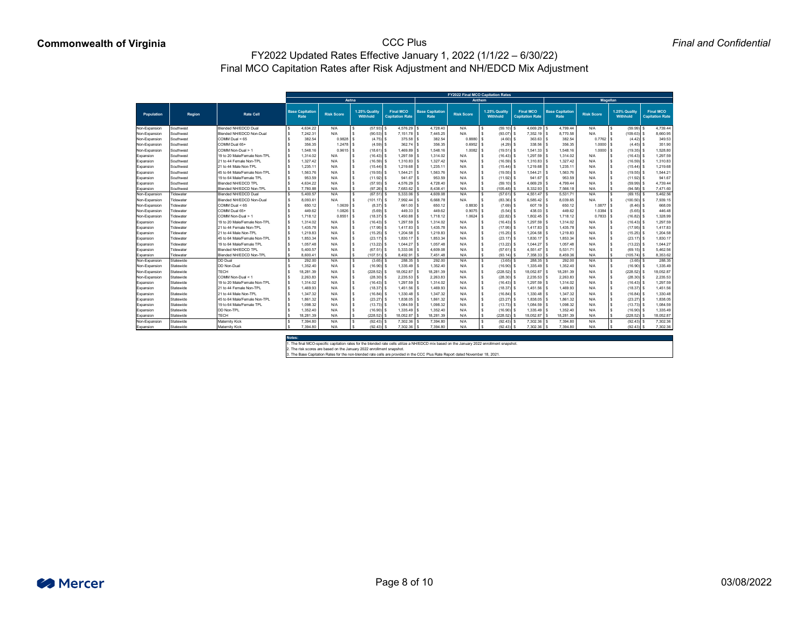*Final and Confidential*

|                                |                        |                                                         |                                |                   |                                  |                                            |                                | <b>FY2022 Final MCO Capitation Rates</b> |                                  |                                            |                                       |                   |                           |                                            |
|--------------------------------|------------------------|---------------------------------------------------------|--------------------------------|-------------------|----------------------------------|--------------------------------------------|--------------------------------|------------------------------------------|----------------------------------|--------------------------------------------|---------------------------------------|-------------------|---------------------------|--------------------------------------------|
|                                |                        |                                                         |                                | Aetna             |                                  |                                            |                                | <b>Anthem</b>                            |                                  |                                            |                                       | <b>Magellan</b>   |                           |                                            |
| <b>Population</b>              | <b>Region</b>          | <b>Rate Cell</b>                                        | <b>Base Capitation</b><br>Rate | <b>Risk Score</b> | 1.25% Quality<br><b>Withhold</b> | <b>Final MCO</b><br><b>Capitation Rate</b> | <b>Base Capitation</b><br>Rate | <b>Risk Score</b>                        | 1.25% Quality<br><b>Withhold</b> | <b>Final MCO</b><br><b>Capitation Rate</b> | <b>Base Capitation</b><br><b>Rate</b> | <b>Risk Score</b> | 1.25% Quality<br>Withhold | <b>Final MCO</b><br><b>Capitation Rate</b> |
|                                |                        |                                                         |                                |                   |                                  |                                            |                                |                                          |                                  |                                            |                                       |                   |                           |                                            |
| Non-Expansion                  | Southwest              | <b>Blended NH/EDCD Dual</b><br>Blended NH/EDCD Non-Dual | 4,634.22                       | N/A               | (57.93)                          | $4,576.29$ \$<br>$7,151.78$ \$             | 4,728.40                       | N/A<br>N/A                               | $(59.10)$ \$                     | 4,669.29                                   | 4,799.44<br>8,770.58                  | N/A               | (59.99)                   | 4,739.44                                   |
| Non-Expansion<br>Non-Expansion | Southwest<br>Southwest | $COMM$ Dual $< 65$                                      | 7,242.3<br>382.54              | N/A<br>0.9828     | $(90.53)$ \$<br>$(4.75)$ \$      |                                            | 7,445.25<br>382.54             | 0.8880                                   | (93.07)<br>(4.60)                | 7,352.19 \$<br>363.63                      | 382.54                                | N/A<br>0.7762     | (109.63)<br>(4.42)        | 8,660.95<br>349.53                         |
| Non-Expansion                  | Southwest              | COMM Dual 65+                                           | 356.35                         | 1.2478            | $(4.59)$ \$                      | $362.74$ \\$                               | 356.35                         | 0.6952                                   | (4.29)                           | 338.56 \$                                  | 356.35                                | 1.0000            | (4.45)                    | 351.90                                     |
| Non-Expansion                  | Southwest              | COMM Non-Dual > 1                                       | 1,548.16                       | 0.9615            | $(18.61)$ \$                     | 1,469.89                                   | 1,548.16                       | $1.0082$ :                               | (19.51)                          | 1,541.33                                   | 1,548.16                              | 1.0000            | (19.35)                   | 1,528.80                                   |
| Expansion                      | Southwest              | 19 to 20 Male/Female Non-TPL                            | 1,314.02                       | N/A               | $(16.43)$ \$                     | 1,297.59 \$                                | 1,314.02                       | N/A                                      | (16.43)                          | $1,297.59$ \.                              | 1,314.02                              | N/A               | (16.43)                   | 1,297.59                                   |
| Expansion                      | Southwest              | 21 to 44 Female Non-TPL                                 | 1,327.42                       | N/A               | $(16.59)$ \$                     | 1,310.83                                   | 1,327.42                       | N/A                                      | (16.59)                          | $1,310.83$ \.                              | 1,327.42                              | N/A               | $(16.59)$ \$              | 1,310.83                                   |
| Expansion                      | Southwest              | 21 to 44 Male Non-TPL                                   | 1,235.1                        | N/A               | $(15.44)$ \$                     | 1,219.68                                   | 1,235.11                       | N/A                                      | (15.44)                          | 1,219.68                                   | 1,235.1'                              | N/A               | (15.44)                   | 1,219.68                                   |
| Expansion                      | Southwest              | 45 to 64 Male/Female Non-TPL                            | 1,563.76                       | N/A               | $(19.55)$ \$                     | $1,544.21$ \$                              | 1,563.76                       | N/A                                      | (19.55)                          | $1,544.21$ \$                              | 1,563.76                              | N/A               | (19.55)                   | 1,544.21                                   |
| Expansion                      | Southwest              | 19 to 64 Male/Female TPL                                | 953.59                         | N/A               | $(11.92)$ \$                     | $941.67$ \$                                | 953.59                         | N/A                                      | (11.92)                          | 941.67                                     | 953.59                                | N/A               | (11.92)                   | 941.67                                     |
| Expansion                      | Southwest              | <b>Blended NH/EDCD TPL</b>                              | 4,634.22                       | N/A               | $(57.93)$ \$                     | 4,576.29                                   | 4,728.40                       | N/A                                      | $(59.10)$ \$                     | 4,669.29                                   | 4,799.44                              | N/A               | (59.99)                   | 4,739.44                                   |
| Expansion                      | Southwest              | <b>Blended NH/EDCD Non-TPL</b>                          | 7,780.88                       | N/A               | $(97.26)$ \$                     | $7,683.62$ \ \;                            | 8,438.41                       | N/A                                      | (105.48)                         | 8,332.93                                   | 7,566.18                              | N/A               | (94.58)                   | 7,471.60                                   |
| Non-Expansion                  | Tidewater              | <b>Blended NH/EDCD Dual</b>                             | 5,400.57                       | N/A               | (67.51)                          | 5,333.06 \$                                | 4,609.08                       | N/A                                      | (57.61)                          | 4,551.47                                   | 5,531.71                              | N/A               | (69.15)                   | 5,462.56                                   |
| Non-Expansion                  | Tidewater              | Blended NH/EDCD Non-Dual                                | 8,093.6                        | N/A               | $(101.17)$ \$                    | 7,992.44   9                               | 6,668.78                       | N/A                                      | $(83.36)$ \$                     | $6,585.42$ \.                              | 8,039.65                              | N/A               | (100.50)                  | 7,939.15                                   |
| Non-Expansion                  | Tidewater              | $COMM$ Dual $< 65$                                      | 650.12                         | 1.0639            | $(8.37)$ \$                      | $661.00$ \.                                | 650.12                         | 0.8830                                   | (7.69)                           | 607.19                                     | 650.12                                | 1.0877            | (8.46)                    | 668.09                                     |
| Non-Expansion                  | ⊺idewater              | COMM Dual 65+                                           | 449.62                         | 1.0826            | (5.69)                           | $449.33$ \$                                | 449.62                         | 0.9075                                   | (5.54)                           | 438.03                                     | 449.62                                | 1.0384            | (5.65)                    | 446.48                                     |
| Non-Expansion                  | Γidewater              | COMM Non-Dual > 1                                       | 1,718.12                       | 0.8551            | $(18.37)$ \.                     | $1,450.88$ \ \;                            | 1,718.12                       | $1.0624$ \$                              | (22.82)                          | 1,802.45                                   | 1,718.12                              | 0.7833            | (16.82)                   | 1,328.99                                   |
| Expansion                      | Tidewater              | 19 to 20 Male/Female Non-TPL                            | 1,314.02                       | N/A               | $(16.43)$ \$                     | $1,297.59$ \$                              | 1,314.02                       | N/A                                      | $(16.43)$ \$                     | $1,297.59$ \.                              | 1,314.02                              | N/A               | (16.43)                   | 1,297.59                                   |
| Expansion                      | Tidewater              | 21 to 44 Female Non-TPL                                 | 1,435.7                        | N/A               | $(17.95)$ \$                     | 1,417.83                                   | 1,435.78                       | N/A                                      | (17.95)                          | 1,417.83                                   | 1,435.78                              | N/A               | (17.95)                   | 1,417.83                                   |
| Expansion                      | Tidewater              | 21 to 44 Male Non-TPL                                   | 1,219.83                       | N/A               | $(15.25)$ \.                     | 1,204.58                                   | 1,219.83                       | N/A                                      | (15.25)                          | 1,204.58                                   | 1,219.83                              | N/A               | (15.25)                   | 1,204.58                                   |
| Expansion                      | Tidewater              | 45 to 64 Male/Female Non-TPL                            | 1,853.34                       | N/A               | $(23.17)$ \$                     | 1,830.17                                   | 1,853.34                       | N/A                                      | $(23.17)$ \$                     | 1,830.17                                   | 1,853.34                              | N/A               | (23.17)                   | 1,830.17                                   |
| Expansion                      | Tidewater              | 19 to 64 Male/Female TPL                                | 1,057.48                       | N/A               | $(13.22)$ \$                     | 1,044.27                                   | 1,057.48                       | N/A                                      | (13.22)                          | 1,044.27                                   | 1,057.48                              | N/A               | (13.22)                   | 1,044.27                                   |
| Expansion                      | Tidewater              | <b>Blended NH/EDCD TPL</b>                              | 5,400.57                       | N/A               | $(67.51)$ \$                     | 5,333.06                                   | 4,609.08                       | N/A                                      | $(57.61)$ \$                     | 4,551.47                                   | 5,531.71                              | N/A               | (69.15)                   | 5,462.56                                   |
| Expansion                      | Tidewater              | <b>Blended NH/EDCD Non-TPL</b>                          | 8,600.4                        | N/A               | (107.51)                         | 8,492.91                                   | 7,451.48                       | N/A                                      | (93.14)                          | 7,358.33                                   | 8,459.36                              | N/A               | (105.74)                  | 8,353.62                                   |
| Non-Expansion                  | Statewide              | DD Dual                                                 | 292.00                         | N/A               | $(3.65)$ \$                      | $288.35$ \$                                | 292.00                         | N/A                                      | $(3.65)$ \$                      | $288.35$ \$                                | 292.00                                | N/A               | $(3.65)$ \$               | 288.35                                     |
| Non-Expansion                  | Statewide              | DD Non-Dual                                             | 1,352.40                       | N/A               | $(16.90)$ \$                     | $1,335.49$ \$                              | 1,352.40                       | N/A                                      | (16.90)                          | 1,335.49                                   | 1,352.40                              | N/A               | (16.90)                   | 1,335.49                                   |
| Non-Expansion                  | Statewide              | ECH                                                     | 18,281.39                      | N/A               | $(228.52)$ \$                    | 18,052.87 \$                               | 18,281.39                      | N/A                                      | $(228.52)$ \$                    | 18,052.87                                  | 18,281.39                             | N/A               | (228.52)                  | 18,052.87                                  |
| Non-Expansion                  | Statewide              | COMM Non-Dual < 1                                       | 2,263.83                       | N/A               | $(28.30)$ \$                     | $2,235.53$ \$                              | 2,263.83                       | N/A                                      | $(28.30)$ \$                     | $2,235.53$ \$                              | 2,263.83                              | N/A               | (28.30)                   | 2,235.53                                   |
| Expansion                      | Statewide              | 19 to 20 Male/Female Non-TPL                            | 1,314.02                       | N/A               | $(16.43)$ \$                     | 1,297.59                                   | 1,314.02                       | N/A                                      | $(16.43)$ \$                     | $1,297.59$ $\mid$                          | 1,314.02                              | N/A               | (16.43)                   | 1,297.59                                   |
| Expansion                      | Statewide              | 21 to 44 Female Non-TPL                                 | 1,469.93                       | N/A               | $(18.37)$ \$                     | 1,451.56 \$                                | 1,469.93                       | N/A                                      | $(18.37)$ \$                     | 1,451.56                                   | 1,469.93                              | N/A               | (18.37)                   | 1,451.56                                   |
| Expansion                      | Statewide              | 21 to 44 Male Non-TPL                                   | 1,347.32                       | N/A               | $(16.84)$ \$                     | $1,330.48$                                 | 1,347.32                       | N/A                                      | (16.84)                          | 1,330.48                                   | 1,347.32                              | N/A               | (16.84)                   | 1,330.48                                   |
| Expansion                      | Statewide              | 45 to 64 Male/Female Non-TPL                            | 1,861.32                       | N/A               | $(23.27)$ \$                     | $1,838.05$ \.                              | 1,861.32                       | N/A                                      | (23.27)                          | $1,838.05$ \$                              | 1,861.32                              | N/A               | (23.27)                   | 1,838.05                                   |
| Expansion                      | Statewide              | 19 to 64 Male/Female TPL                                | 1,098.32                       | N/A               | $(13.73)$ \$                     | $1,084.59$ \ \$                            | 1,098.32                       | N/A                                      | (13.73)                          | 1,084.59                                   | 1,098.32                              | N/A               | $(13.73)$ \$              | 1,084.59                                   |
| Expansion                      | Statewide              | DD Non-TPL                                              | 1,352.40                       | N/A               | $(16.90)$ \$                     | $1,335.49$ \.                              | 1,352.40                       | N/A                                      | (16.90)                          | 1,335.49                                   | 1,352.40                              | N/A               | (16.90)                   | 1,335.49                                   |
| Expansion                      | Statewide              | <b>ECH</b>                                              | 18,281.39                      | N/A               | $(228.52)$ \$                    | 18,052.87                                  | 18,281.39                      | N/A                                      | $(228.52)$ \$                    | 18,052.87                                  | 18,281.39                             | N/A               | (228.52)                  | 18,052.87                                  |
| Non-Expansion                  | Statewide              | <b>Maternity Kick</b>                                   | 7,394.80                       | N/A               | $(92.43)$ \$                     | $7,302.36$ \$                              | 7,394.80                       | N/A                                      | $(92.43)$ \$                     | 7,302.36 \$                                | 7,394.80                              | N/A               | (92.43)                   | 7,302.36                                   |
| Expansion                      | Statewide              | <b>Maternity Kick</b>                                   | 7,394.80                       | N/A               | $(92.43)$ \$                     | $7,302.36$ \$                              | 7,394.80                       | N/A                                      | $(92.43)$ \$                     | $7,302.36$ \$                              | 7,394.80                              | N/A               | $(92.43)$ \$              | 7,302.36                                   |
|                                |                        |                                                         |                                |                   |                                  |                                            |                                |                                          |                                  |                                            |                                       |                   |                           |                                            |

**Notes:**



1. The final MCO-specific capitation rates for the blended rate cells utilize a NH/EDCD mix based on the January 2022 enrollment snapshot.

2. The risk scores are based on the January 2022 enrollment snapshot.

3. The Base Capitation Rates for the non-blended rate cells are provided in the CCC Plus Rate Report dated November 18, 2021.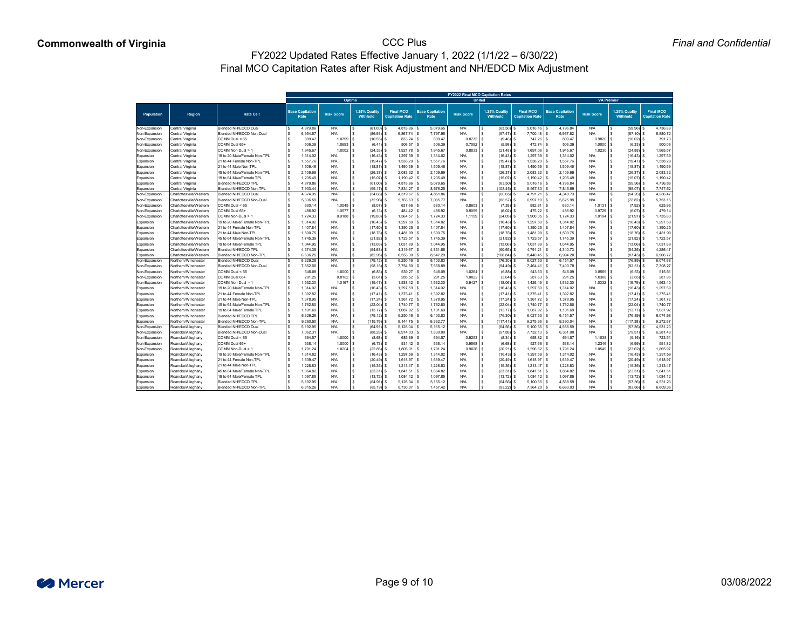|                   |                         |                                 |  |                                |                   |        |                                  |                                            |                                | <b>FY2022 Final MCO Capitation Rates</b> |                                  |                                            |                                |                   |                  |                                  |                                            |
|-------------------|-------------------------|---------------------------------|--|--------------------------------|-------------------|--------|----------------------------------|--------------------------------------------|--------------------------------|------------------------------------------|----------------------------------|--------------------------------------------|--------------------------------|-------------------|------------------|----------------------------------|--------------------------------------------|
|                   |                         |                                 |  |                                |                   | Optima |                                  |                                            |                                | <b>United</b>                            |                                  |                                            |                                | <b>VA Premier</b> |                  |                                  |                                            |
| <b>Population</b> | <b>Region</b>           | <b>Rate Cell</b>                |  | <b>Base Capitation</b><br>Rate | <b>Risk Score</b> |        | 1.25% Quality<br><b>Withhold</b> | <b>Final MCO</b><br><b>Capitation Rate</b> | <b>Base Capitation</b><br>Rate | <b>Risk Score</b>                        | 1.25% Quality<br><b>Withhold</b> | <b>Final MCO</b><br><b>Capitation Rate</b> | <b>Base Capitation</b><br>Rate | <b>Risk Score</b> |                  | 1.25% Quality<br><b>Withhold</b> | <b>Final MCO</b><br><b>Capitation Rate</b> |
| Non-Expansion     | <b>Central Virginia</b> | <b>Blended NH/EDCD Dual</b>     |  | 4,879.86                       | N/A               | \$     | $(61.00)$ \$                     | $4,818.86$ \$                              | 5,079.65                       | N/A                                      | \$<br>$(63.50)$ \$               | $5,016.16$ \ \$                            | 4,796.84                       | N/A               | $\sqrt{3}$       | $(59.96)$ \$                     | 4,736.88                                   |
| Non-Expansion     | <b>Central Virginia</b> | Blended NH/EDCD Non-Dual        |  | 6,954.67                       | N/A               |        | $(86.93)$ \$                     | $6,867.74$ \$                              | 7,797.96                       | N/A                                      | $(97.47)$ \$                     | $7,700.48$ \$                              | 6,967.82                       | N/A               |                  | $(87.10)$ \$                     | 6,880.72                                   |
| Non-Expansion     | Central Virginia        | COMM Dual < 65                  |  | 809.47                         | 1.0799            |        | $(10.55)$ \$                     | 833.24                                     | 809.47                         | $0.8772$ \$                              | $(9.46)$ \$                      | 747.26 \$                                  | 809.47                         | $0.9820$ \$       |                  | $(10.02)$ \$                     | 791.70                                     |
| Non-Expansion     | <b>Central Virginia</b> | COMM Dual 65+                   |  | 506.39                         | 1.0693            |        | $(6.41)$ \$                      | $506.57$ \ \ \$                            | 506.39                         | $0.7092$ \$                              | $(5.98)$ \$                      | $472.74$ \\$                               | 506.39                         | $1.0000$   \$     |                  | $(6.33)$ \$                      | 500.06                                     |
| Non-Expansion     | Central Virginia        | COMM Non-Dual > 1               |  | 1,945.67                       | $1.0002$   \$     |        | $(24.33)$ \$                     | $1,921.78$ \$                              | 1,945.67                       | $0.8833$ \$                              | $(21.48)$ \$                     | $1,697.06$ \$                              | 1,945.67                       | $1.0230$   \$     |                  | $(24.88)$ \$                     | 1,965.57                                   |
| Expansion         | Central Virginia        | 19 to 20 Male/Female Non-TPL    |  | 1,314.02                       | N/A               |        | $(16.43)$ \$                     | $1,297.59$ \$                              | 1,314.02                       | N/A                                      | \$<br>$(16.43)$ \$               | $1,297.59$ \$                              | 1,314.02                       | N/A               | l S              | $(16.43)$ \$                     | 1,297.59                                   |
| Expansion         | <b>Central Virginia</b> | 21 to 44 Female Non-TPL         |  | 1,557.76                       | N/A               |        | $(19.47)$ \$                     | $1,538.29$ \$                              | 1,557.76                       | N/A                                      | $(19.47)$ \$<br>\$               | $1,538.29$ \$                              | 1,557.76                       | N/A               | l \$             | $(19.47)$ \$                     | 1,538.29                                   |
| Expansion         | Central Virginia        | 21 to 44 Male Non-TPL           |  | 1,509.46                       | N/A               |        | $(18.87)$ \$                     | $1,490.59$ \$                              | 1,509.46                       | N/A                                      | $\mathfrak{S}$<br>$(18.87)$ \$   | $1,490.59$ \$                              | 1,509.46                       | N/A               | <b>S</b>         | $(18.87)$ \$                     | 1,490.59                                   |
| Expansion         | Central Virginia        | 45 to 64 Male/Female Non-TPL    |  | 2,109.69                       | N/A               |        | $(26.37)$ \$                     | $2,083.32$ \$                              | 2,109.69                       | N/A                                      | \$<br>$(26.37)$ \$               | $2,083.32$ \$                              | 2,109.69                       | N/A               | \$               | $(26.37)$ \$                     | 2,083.32                                   |
| Expansion         | Central Virginia        | 19 to 64 Male/Female TPL        |  | 1,205.49                       | N/A               |        | $(15.07)$ \$                     | $1,190.42$ \$                              | 1,205.49                       | N/A                                      | \$<br>$(15.07)$ \$               | $1,190.42$ \$                              | 1,205.49                       | N/A               | l \$             | $(15.07)$ \$                     | 1,190.42                                   |
| Expansion         | <b>Central Virginia</b> | <b>Blended NH/EDCD TPL</b>      |  | 4,879.86                       | N/A               |        | $(61.00)$ \$                     | $4,818.86$ \$                              | 5,079.65                       | N/A                                      | \$<br>$(63.50)$ \$               | $5,016.16$ \$                              | 4,796.84                       | N/A               | - \$             | $(59.96)$ \$                     | 4,736.88                                   |
| Expansion         | <b>Central Virginia</b> | <b>Blended NH/EDCD Non-TPL</b>  |  | 7,933.44                       | N/A               |        | $(99.17)$ \$                     | 7,834.27                                   | 8,676.25                       | N/A                                      | \$<br>$(108.45)$ \$              | $8,567.80$ \$                              | 7,845.69                       | N/A               | \$               | $(98.07)$ \$                     | 7,747.62                                   |
| Non-Expansion     | Charlottesville/Western | <b>Blended NH/EDCD Dual</b>     |  | 4,374.35                       | N/A               |        | $(54.68)$ \$                     | 4,319.67 $\frac{1}{3}$                     | 4,851.86                       | N/A                                      | $(60.65)$ \$<br>\$               | $4,791.21$ \$                              | 4,340.73                       | N/A               | $\sqrt{3}$       | $(54.26)$ \$                     | 4,286.47                                   |
| Non-Expansion     | Charlottesville/Western | <b>Blended NH/EDCD Non-Dual</b> |  | 5,836.59                       | N/A               |        | $(72.96)$ \$                     | $5,763.63$ \$                              | 7,085.77                       | N/A                                      | $(88.57)$ \$<br>S.               | $6,997.19$ \$                              | 5,825.98                       | N/A               |                  | $(72.82)$ \$                     | 5,753.15                                   |
| Non-Expansion     | Charlottesville/Western | COMM Dual < 65                  |  | 630.14                         | 1.0545            |        | $(8.07)$ \$                      | $637.66$ \ \$                              | 630.14                         | 0.8603                                   | $(7.38)$ \$<br>- \$              | 582.81                                     | 630.14                         | $1.0131$   \$     |                  | $(7.92)$ \$                      | 625.96                                     |
| Non-Expansion     | Charlottesville/Western | COMM Dual 65+                   |  | 486.92                         | 1.0577            |        | $(6.13)$ \$                      |                                            | 486.92                         | $0.9099$ \$                              | $(6.02)$ \$                      | $475.22$ \ \$                              | 486.92                         | $0.9729$ \$       |                  | $(6.07)$ \$                      | 479.14                                     |
| Non-Expansion     | Charlottesville/Western | COMM Non-Dual > 1               |  | 1,724.33                       | $0.9188$ \ \$     |        | $(19.80)$ \$                     | $1,564.57$ \$                              | 1,724.33                       | $1.1159$ \$                              | $(24.05)$ \$                     | $1,900.05$ \$                              | 1,724.33                       | $1.0194$ \ \$     |                  | $(21.97)$ \$                     | 1,735.80                                   |
| Expansion         | Charlottesville/Western | 19 to 20 Male/Female Non-TPL    |  | 1,314.02                       | N/A               |        | $(16.43)$ \$                     | $1,297.59$ \$                              | 1,314.02                       | N/A                                      | $(16.43)$ \$<br>S.               | $1,297.59$ \$                              | 1,314.02                       | N/A               | l S              | $(16.43)$ \$                     | 1,297.59                                   |
| Expansion         | Charlottesville/Western | 21 to 44 Female Non-TPL         |  | 1,407.84                       | N/A               |        | $(17.60)$ \$                     | $1,390.25$ \$                              | 1,407.84                       | N/A                                      | $(17.60)$ \$<br>\$               | $1,390.25$ \$                              | 1,407.84                       | N/A               | l \$             | $(17.60)$ \$                     | 1,390.25                                   |
| Expansion         | Charlottesville/Western | 21 to 44 Male Non-TPL           |  | 1,500.75                       | N/A               |        | $(18.76)$ \$                     | $1,481.99$ \$                              | 1,500.75                       | N/A                                      | \$<br>$(18.76)$ \$               | $1,481.99$ \$                              | 1,500.75                       | N/A               | <b>S</b>         | $(18.76)$ \$                     | 1,481.99                                   |
| Expansion         | Charlottesville/Western | 45 to 64 Male/Female Non-TPL    |  | 1,745.39                       | N/A               |        | $(21.82)$ \$                     | $1,723.57$ \$                              | 1,745.39                       | N/A                                      | $(21.82)$ \$<br>\$               | 1,723.57 \$                                | 1,745.39                       | N/A               | l \$             | $(21.82)$ \$                     | 1,723.57                                   |
| Expansion         | Charlottesville/Western | 19 to 64 Male/Female TPL        |  | 1,044.95                       | N/A               |        | $(13.06)$ \$                     | $1,031.89$ \$                              | 1,044.95                       | N/A                                      | $\mathfrak{S}$<br>$(13.06)$ \$   | $1,031.89$ \$                              | 1,044.95                       | N/A               | <b>S</b>         | $(13.06)$ \$                     | 1,031.89                                   |
| Expansion         | Charlottesville/Western | <b>Blended NH/EDCD TPL</b>      |  | 4,374.35                       | N/A               |        | $(54.68)$ \$                     | $4,319.67$ \$                              | 4,851.86                       | N/A                                      | $\mathfrak{S}$<br>$(60.65)$ \$   | $4,791.21$ \$                              | 4,340.73                       | N/A               | \$               | $(54.26)$ \$                     | 4,286.47                                   |
| Expansion         | Charlottesville/Western | <b>Blended NH/EDCD Non-TPL</b>  |  | 6,636.25                       | N/A               |        | $(82.95)$ \$                     | $6,553.30$ \$                              | 8,547.29                       | N/A                                      | $106.84$ \$<br>\$                | $8,440.45$ \$                              | 6,994.20                       | N/A               | -\$              | $(87.43)$ \$                     | 6,906.77                                   |
| Non-Expansion     | Northern/Winchester     | <b>Blended NH/EDCD Dual</b>     |  | 6,329.28                       | N/A               |        | $(79.12)$ \$                     | $6,250.16$ \$                              | 6,103.83                       | N/A                                      | \$<br>$(76.30)$ \$               | $6,027.53$ \$                              | 6,151.57                       | N/A               | $\sqrt{3}$       | $(76.89)$ \$                     | 6,074.68                                   |
| Non-Expansion     | Northern/Winchester     | Blended NH/EDCD Non-Dual        |  | 7,852.66                       | N/A               |        | $(98.16)$ \$                     | 7,754.50 \$                                | 7,558.89                       | N/A                                      | $(94.49)$ \$<br>-S               | $7,464.41$ \$                              | 7,400.78                       | N/A               | l \$             | $(92.51)$ \$                     | 7,308.27                                   |
| Non-Expansion     | Northern/Winchester     | COMM Dual < 65                  |  | 546.09                         | $1.0000$ \$       |        | $(6.83)$ \$                      | $539.27$ \$                                | 546.09                         | $1.0264$   \$                            | $(6.88)$ \$                      | $543.63$ \ \$                              | 546.09                         | $0.8569$ \$       |                  | $(6.53)$ \$                      | 515.61                                     |
| Non-Expansion     | Northern/Winchester     | COMM Dual 65+                   |  | 291.25                         | $0.8182$ \$       |        | $(3.61)$ \$                      | $285.52$ \$                                | 291.25                         | $1.0022$   \$                            | $(3.64)$ \$                      | $287.63$ \$                                | 291.25                         | $1.0308$ \$       |                  | $(3.65)$ \$                      | 287.96                                     |
|                   | Northern/Winchester     | COMM Non-Dual > 1               |  | 1,532.30                       | $1.0167$   \$     |        | $(19.47)$ \$                     | $1,538.42$ \$                              | 1,532.30                       | $0.9427$ \$                              | $(18.06)$ \$                     | $1,426.49$ \$                              | 1,532.30                       |                   |                  | $(19.79)$ \$                     | 1,563.40                                   |
| Non-Expansion     | Northern/Winchester     | 19 to 20 Male/Female Non-TPL    |  | 1,314.02                       |                   |        |                                  |                                            |                                |                                          |                                  |                                            |                                |                   |                  |                                  | 1,297.59                                   |
| Expansion         |                         |                                 |  |                                | N/A               |        | $(16.43)$ \$                     | $1,297.59$ \$                              | 1,314.02                       | N/A                                      | $(16.43)$ \$<br>- \$             | $1,297.59$ \$                              | 1,314.02                       | N/A               | ΙSΙ              | $(16.43)$ \$                     |                                            |
| Expansion         | Northern/Winchester     | 21 to 44 Female Non-TPL         |  | 1,392.82                       | N/A               |        | $(17.41)$ \$                     | $1,375.41$ \ \$                            | 1,392.82                       | N/A                                      | \$<br>$(17.41)$ \$               | $1,375.41$ \$                              | 1,392.82                       | N/A               | l \$             | $(17.41)$ \$                     | 1,375.41                                   |
| Expansion         | Northern/Winchester     | 21 to 44 Male Non-TPL           |  | 1,378.95                       | N/A               |        | $(17.24)$ \$                     | $1,361.72$ \$                              | 1,378.95                       | N/A                                      | \$<br>$(17.24)$ \$               | $1,361.72$ \$                              | 1,378.95                       | N/A               | l \$             | $(17.24)$ \$                     | 1,361.72                                   |
| Expansion         | Northern/Winchester     | 45 to 64 Male/Female Non-TPL    |  | 1,762.80                       | N/A               |        | $(22.04)$ \$                     | $1,740.77$ \$                              | 1,762.80                       | N/A                                      | $(22.04)$ \$<br>\$               | $1,740.77$ \\$                             | 1,762.80                       | N/A               | l \$             | $(22.04)$ \$                     | 1,740.77                                   |
| Expansion         | Northern/Winchester     | 19 to 64 Male/Female TPL        |  | 1,101.69                       | N/A               |        | $(13.77)$ \$                     | $1,087.92$ \$                              | 1,101.69                       | N/A                                      | \$<br>$(13.77)$ \$               | $1,087.92$ \$                              | 1,101.69                       | N/A               | l \$             | $(13.77)$ \$                     | 1,087.92                                   |
| Expansion         | Northern/Winchester     | <b>Blended NH/EDCD TPL</b>      |  | 6,329.28                       | N/A               |        | $(79.12)$ \$                     | $6,250.16$ \$                              | 6,103.83                       | N/A                                      | $(76.30)$ \$<br>\$               | $6,027.53$ \$                              | 6,151.57                       | N/A               | l \$             | $(76.89)$ \$                     | 6,074.68                                   |
| Expansion         | Northern/Winchester     | <b>Blended NH/EDCD Non-TPL</b>  |  | 9,260.50                       | N/A               |        | $(115.76)$ \$                    | $9,144.75$ \$                              | 9,392.77                       | N/A                                      | \$<br>$(117.41)$ \$              | $9,275.36$ \$                              | 9,390.04                       | N/A               | \$<br>$\sqrt{3}$ | $(117.38)$ \$                    | 9,272.67                                   |
| Non-Expansion     | Roanoke/Alleghany       | <b>Blended NH/EDCD Dual</b>     |  | 5,192.95                       | N/A               |        | $(64.91)$ \$                     | $5,128.04$ \$                              | 5,165.12                       | N/A                                      | $\$\$<br>$(64.56)$ \$            | $5,100.55$ \$                              | 4,588.59                       | N/A               |                  | $(57.36)$ \$                     | 4,531.23                                   |
| Non-Expansion     | Roanoke/Alleghany       | Blended NH/EDCD Non-Dual        |  | 7,062.31                       | N/A               |        | $(88.28)$ \$                     | $6,974.03$ \$                              | 7,830.00                       | N/A                                      | $(97.88)$ \$<br>S.               |                                            | 6,361.00                       | N/A               |                  | $(79.51)$ \$                     | 6,281.48                                   |
| Non-Expansion     | Roanoke/Alleghany       | COMM Dual < 65                  |  | 694.57                         | $1.0000$   \$     |        | $(8.68)$ \$                      | $685.89$ \$                                | 694.57                         | $0.9253$ \$                              | $(8.34)$ \$                      | $658.82$ \ \$                              | 694.57                         |                   |                  | $(9.16)$ \$                      | 723.51                                     |
| Non-Expansion     | Roanoke/Alleghany       | COMM Dual 65+                   |  | 538.14                         | $1.0000$   \$     |        | $(6.73)$ \$                      |                                            | 538.14                         | $0.9568$ \$                              | $(6.68)$ \$                      | $527.66$ \ \$                              | 538.14                         |                   |                  | $(6.99)$ \$                      | 551.82                                     |
| Non-Expansion     | Roanoke/Alleghany       | COMM Non-Dual > 1               |  | 1,791.24                       | 1.0204            |        | $(22.85)$ \$                     | $1,805.01$ \ \$                            | 1,791.24                       | $0.9026$ \$                              | $(20.21)$ \$                     | $1,596.62$ \$                              | 1,791.24                       | $1.0549$ \ \$     |                  | $(23.62)$ \$                     | 1,865.97                                   |
| Expansion         | Roanoke/Alleghany       | 19 to 20 Male/Female Non-TPL    |  | 1,314.02                       | N/A               |        | $(16.43)$ \$                     | $1,297.59$ \$                              | 1,314.02                       | N/A                                      | $(16.43)$ \$<br>S.               | $1,297.59$ \$                              | 1,314.02                       | N/A               | l \$             | $(16.43)$ \$                     | 1,297.59                                   |
| Expansion         | Roanoke/Alleghany       | 21 to 44 Female Non-TPL         |  | 1,639.47                       | N/A               |        | $(20.49)$ \$                     | $1,618.97$ \$                              | 1,639.47                       | N/A                                      | \$<br>$(20.49)$ \$               | $1,618.97$ \$                              | 1,639.47                       | N/A               |                  | $(20.49)$ \$                     | 1,618.97                                   |
| Expansion         | Roanoke/Alleghany       | 21 to 44 Male Non-TPL           |  | 1,228.83                       | N/A               |        | $(15.36)$ \$                     | $1,213.47$ \$                              | 1,228.83                       | N/A                                      | \$<br>$(15.36)$ \$               |                                            | 1,228.83                       | N/A               | l \$             | $(15.36)$ \$                     | 1,213.47                                   |
| Expansion         | Roanoke/Alleghany       | 45 to 64 Male/Female Non-TPL    |  | 1,864.82                       | N/A               |        | $(23.31)$ \$                     | $1,841.51$ \$                              | 1,864.82                       | N/A                                      | \$<br>$(23.31)$ \$               | $1,841.51$ \$                              | 1,864.82                       | N/A               | l \$             | $(23.31)$ \$                     | 1,841.51                                   |
| Expansion         | Roanoke/Alleghany       | 19 to 64 Male/Female TPL        |  | 1,097.85                       | N/A               |        | $(13.72)$ \$                     | $1,084.12$ \$                              | 1,097.85                       | N/A                                      | \$<br>$(13.72)$ \$               | $1,084.12$ \$                              | 1,097.85                       | N/A               | l \$             | $(13.72)$ \$                     | 1,084.12                                   |
| Expansion         | Roanoke/Alleghany       | <b>Blended NH/EDCD TPL</b>      |  | 5,192.95                       | N/A               |        | $(64.91)$ \$                     | $5,128.04$ \$                              | 5,165.12                       | N/A                                      | \$<br>$(64.56)$ \$               | $5,100.55$   \$                            | 4,588.59                       | N/A               | l S              | $(57.36)$ \$                     | 4,531.23                                   |
| Expansion         | Roanoke/Alleghany       | <b>Blended NH/EDCD Non-TPL</b>  |  | 6,815.26                       | N/A               |        | $(85.19)$ \$                     | 6,730.07 \$                                | 7,457.42                       | N/A                                      | $(93.22)$ \$                     | $7,364.20$ \ \$                            | 6,693.03                       | N/A               |                  | $(83.66)$ \$                     | 6,609.36                                   |